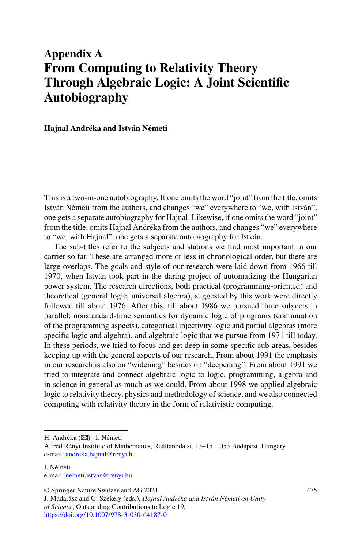# **Appendix A From Computing to Relativity Theory Through Algebraic Logic: A Joint Scientific Autobiography**

**Hajnal Andréka and István Németi**

This is a two-in-one autobiography. If one omits the word "joint" from the title, omits István Németi from the authors, and changes "we" everywhere to "we, with István", one gets a separate autobiography for Hajnal. Likewise, if one omits the word "joint" from the title, omits Hajnal Andréka from the authors, and changes "we" everywhere to "we, with Hajnal", one gets a separate autobiography for István.

The sub-titles refer to the subjects and stations we find most important in our carrier so far. These are arranged more or less in chronological order, but there are large overlaps. The goals and style of our research were laid down from 1966 till 1970, when István took part in the daring project of automatizing the Hungarian power system. The research directions, both practical (programming-oriented) and theoretical (general logic, universal algebra), suggested by this work were directly followed till about 1976. After this, till about 1986 we pursued three subjects in parallel: nonstandard-time semantics for dynamic logic of programs (continuation of the programming aspects), categorical injectivity logic and partial algebras (more specific logic and algebra), and algebraic logic that we pursue from 1971 till today. In these periods, we tried to focus and get deep in some specific sub-areas, besides keeping up with the general aspects of our research. From about 1991 the emphasis in our research is also on "widening" besides on "deepening". From about 1991 we tried to integrate and connect algebraic logic to logic, programming, algebra and in science in general as much as we could. From about 1998 we applied algebraic logic to relativity theory, physics and methodology of science, and we also connected computing with relativity theory in the form of relativistic computing.

H. Andréka (B) · I. Németi

Alfréd Rényi Institute of Mathematics, Reáltanoda st. 13–15, 1053 Budapest, Hungary e-mail: [andreka.hajnal@renyi.hu](mailto:andreka.hajnal@renyi.hu)

I. Németi

e-mail: [nemeti.istvan@renyi.hu](mailto:nemeti.istvan@renyi.hu)

<sup>©</sup> Springer Nature Switzerland AG 2021

J. Madarász and G. Székely (eds.), *Hajnal Andréka and István Németi on Unity of Science*, Outstanding Contributions to Logic 19, <https://doi.org/10.1007/978-3-030-64187-0>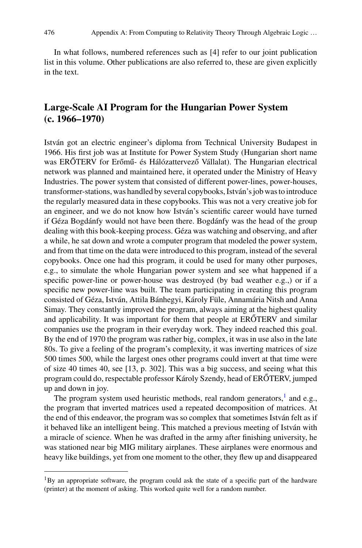In what follows, numbered references such as [4] refer to our joint publication list in this volume. Other publications are also referred to, these are given explicitly in the text.

# **Large-Scale AI Program for the Hungarian Power System (c. 1966–1970)**

István got an electric engineer's diploma from Technical University Budapest in 1966. His first job was at Institute for Power System Study (Hungarian short name was ERŐTERV for Erőmű- és Hálózattervező Vállalat). The Hungarian electrical network was planned and maintained here, it operated under the Ministry of Heavy Industries. The power system that consisted of different power-lines, power-houses, transformer-stations, was handled by several copybooks, István's job was to introduce the regularly measured data in these copybooks. This was not a very creative job for an engineer, and we do not know how István's scientific career would have turned if Géza Bogdánfy would not have been there. Bogdánfy was the head of the group dealing with this book-keeping process. Géza was watching and observing, and after a while, he sat down and wrote a computer program that modeled the power system, and from that time on the data were introduced to this program, instead of the several copybooks. Once one had this program, it could be used for many other purposes, e.g., to simulate the whole Hungarian power system and see what happened if a specific power-line or power-house was destroyed (by bad weather e.g.,) or if a specific new power-line was built. The team participating in creating this program consisted of Géza, István, Attila Bánhegyi, Károly Füle, Annamária Nitsh and Anna Simay. They constantly improved the program, always aiming at the highest quality and applicability. It was important for them that people at  $ER\tilde{O}TERV$  and similar companies use the program in their everyday work. They indeed reached this goal. By the end of 1970 the program was rather big, complex, it was in use also in the late 80s. To give a feeling of the program's complexity, it was inverting matrices of size 500 times 500, while the largest ones other programs could invert at that time were of size 40 times 40, see [13, p. 302]. This was a big success, and seeing what this program could do, respectable professor Károly Szendy, head of ERŐTERV, jumped up and down in joy.

The program system used heuristic methods, real random generators, $<sup>1</sup>$  and e.g.,</sup> the program that inverted matrices used a repeated decomposition of matrices. At the end of this endeavor, the program was so complex that sometimes István felt as if it behaved like an intelligent being. This matched a previous meeting of István with a miracle of science. When he was drafted in the army after finishing university, he was stationed near big MIG military airplanes. These airplanes were enormous and heavy like buildings, yet from one moment to the other, they flew up and disappeared

<span id="page-1-0"></span> ${}^{1}$ By an appropriate software, the program could ask the state of a specific part of the hardware (printer) at the moment of asking. This worked quite well for a random number.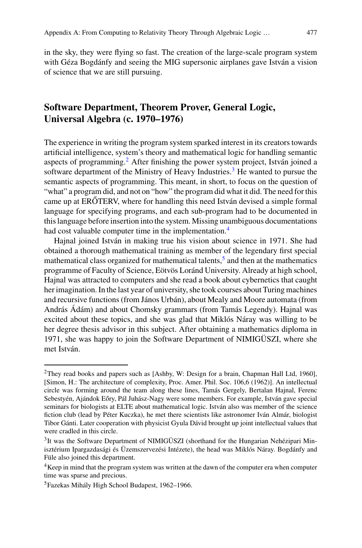in the sky, they were flying so fast. The creation of the large-scale program system with Géza Bogdánfy and seeing the MIG supersonic airplanes gave István a vision of science that we are still pursuing.

# **Software Department, Theorem Prover, General Logic, Universal Algebra (c. 1970–1976)**

The experience in writing the program system sparked interest in its creators towards artificial intelligence, system's theory and mathematical logic for handling semantic aspects of programming.<sup>[2](#page-2-0)</sup> After finishing the power system project, István joined a software department of the Ministry of Heavy Industries.<sup>[3](#page-2-1)</sup> He wanted to pursue the semantic aspects of programming. This meant, in short, to focus on the question of "what" a program did, and not on "how" the program did what it did. The need for this came up at ERŐTERV, where for handling this need István devised a simple formal language for specifying programs, and each sub-program had to be documented in this language before insertion into the system. Missing unambiguous documentations had cost valuable computer time in the implementation.<sup>[4](#page-2-2)</sup>

Hajnal joined István in making true his vision about science in 1971. She had obtained a thorough mathematical training as member of the legendary first special mathematical class organized for mathematical talents, $5$  and then at the mathematics programme of Faculty of Science, Eötvös Loránd University. Already at high school, Hajnal was attracted to computers and she read a book about cybernetics that caught her imagination. In the last year of university, she took courses about Turing machines and recursive functions (from János Urbán), about Mealy and Moore automata (from András Ádám) and about Chomsky grammars (from Tamás Legendy). Hajnal was excited about these topics, and she was glad that Miklós Náray was willing to be her degree thesis advisor in this subject. After obtaining a mathematics diploma in 1971, she was happy to join the Software Department of NIMIGÜSZI, where she met István.

<span id="page-2-0"></span><sup>2</sup>They read books and papers such as [Ashby, W: Design for a brain, Chapman Hall Ltd, 1960], [Simon, H.: The architecture of complexity, Proc. Amer. Phil. Soc. 106,6 (1962)]. An intellectual circle was forming around the team along these lines, Tamás Gergely, Bertalan Hajnal, Ferenc Sebestyén, Ajándok Eőry, Pál Juhász-Nagy were some members. For example, István gave special seminars for biologists at ELTE about mathematical logic. István also was member of the science fiction club (lead by Péter Kuczka), he met there scientists like astronomer Iván Almár, biologist Tibor Gánti. Later cooperation with physicist Gyula Dávid brought up joint intellectual values that were cradled in this circle.

<span id="page-2-1"></span><sup>&</sup>lt;sup>3</sup>It was the Software Department of NIMIGÜSZI (shorthand for the Hungarian Nehézipari Minisztérium Ipargazdasági és Üzemszervezési Intézete), the head was Miklós Náray. Bogdánfy and Füle also joined this department.

<span id="page-2-2"></span><sup>&</sup>lt;sup>4</sup>Keep in mind that the program system was written at the dawn of the computer era when computer time was sparse and precious.

<span id="page-2-3"></span><sup>5</sup>Fazekas Mihály High School Budapest, 1962–1966.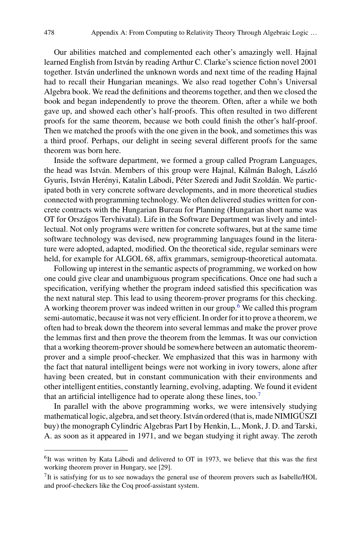Our abilities matched and complemented each other's amazingly well. Hajnal learned English from István by reading Arthur C. Clarke's science fiction novel 2001 together. István underlined the unknown words and next time of the reading Hajnal had to recall their Hungarian meanings. We also read together Cohn's Universal Algebra book. We read the definitions and theorems together, and then we closed the book and began independently to prove the theorem. Often, after a while we both gave up, and showed each other's half-proofs. This often resulted in two different proofs for the same theorem, because we both could finish the other's half-proof. Then we matched the proofs with the one given in the book, and sometimes this was a third proof. Perhaps, our delight in seeing several different proofs for the same theorem was born here.

Inside the software department, we formed a group called Program Languages, the head was István. Members of this group were Hajnal, Kálmán Balogh, László Gyuris, István Herényi, Katalin Lábodi, Péter Szeredi and Judit Szoldán. We participated both in very concrete software developments, and in more theoretical studies connected with programming technology. We often delivered studies written for concrete contracts with the Hungarian Bureau for Planning (Hungarian short name was OT for Országos Tervhivatal). Life in the Software Department was lively and intellectual. Not only programs were written for concrete softwares, but at the same time software technology was devised, new programming languages found in the literature were adopted, adapted, modified. On the theoretical side, regular seminars were held, for example for ALGOL 68, affix grammars, semigroup-theoretical automata.

Following up interest in the semantic aspects of programming, we worked on how one could give clear and unambiguous program specifications. Once one had such a specification, verifying whether the program indeed satisfied this specification was the next natural step. This lead to using theorem-prover programs for this checking. A working theorem prover was indeed written in our group.[6](#page-3-0) We called this program semi-automatic, because it was not very efficient. In order for it to prove a theorem, we often had to break down the theorem into several lemmas and make the prover prove the lemmas first and then prove the theorem from the lemmas. It was our conviction that a working theorem-prover should be somewhere between an automatic theoremprover and a simple proof-checker. We emphasized that this was in harmony with the fact that natural intelligent beings were not working in ivory towers, alone after having been created, but in constant communication with their environments and other intelligent entities, constantly learning, evolving, adapting. We found it evident that an artificial intelligence had to operate along these lines, too.[7](#page-3-1)

In parallel with the above programming works, we were intensively studying mathematical logic, algebra, and set theory. István ordered (that is, made NIMIGÜSZI buy) the monograph Cylindric Algebras Part I by Henkin, L., Monk, J. D. and Tarski, A. as soon as it appeared in 1971, and we began studying it right away. The zeroth

<span id="page-3-0"></span> $<sup>6</sup>$ It was written by Kata Lábodi and delivered to OT in 1973, we believe that this was the first</sup> working theorem prover in Hungary, see [29].

<span id="page-3-1"></span><sup>7</sup>It is satisfying for us to see nowadays the general use of theorem provers such as Isabelle/HOL and proof-checkers like the Coq proof-assistant system.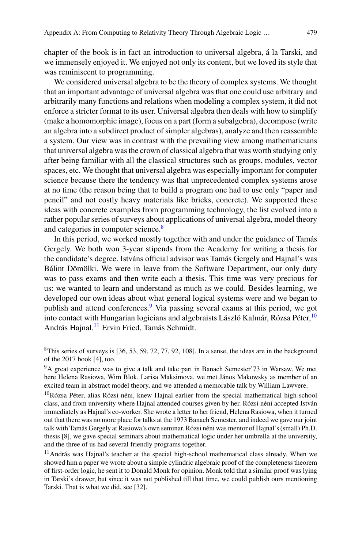chapter of the book is in fact an introduction to universal algebra, á la Tarski, and we immensely enjoyed it. We enjoyed not only its content, but we loved its style that was reminiscent to programming.

We considered universal algebra to be the theory of complex systems. We thought that an important advantage of universal algebra was that one could use arbitrary and arbitrarily many functions and relations when modeling a complex system, it did not enforce a stricter format to its user. Universal algebra then deals with how to simplify (make a homomorphic image), focus on a part (form a subalgebra), decompose (write an algebra into a subdirect product of simpler algebras), analyze and then reassemble a system. Our view was in contrast with the prevailing view among mathematicians that universal algebra was the crown of classical algebra that was worth studying only after being familiar with all the classical structures such as groups, modules, vector spaces, etc. We thought that universal algebra was especially important for computer science because there the tendency was that unprecedented complex systems arose at no time (the reason being that to build a program one had to use only "paper and pencil" and not costly heavy materials like bricks, concrete). We supported these ideas with concrete examples from programming technology, the list evolved into a rather popular series of surveys about applications of universal algebra, model theory and categories in computer science.<sup>8</sup>

In this period, we worked mostly together with and under the guidance of Tamás Gergely. We both won 3-year stipends from the Academy for writing a thesis for the candidate's degree. Istváns official advisor was Tamás Gergely and Hajnal's was Bálint Dömölki. We were in leave from the Software Department, our only duty was to pass exams and then write each a thesis. This time was very precious for us: we wanted to learn and understand as much as we could. Besides learning, we developed our own ideas about what general logical systems were and we began to publish and attend conferences.<sup>[9](#page-4-1)</sup> Via passing several exams at this period, we got into contact with Hungarian logicians and algebraists László Kalmár, Rózsa Péter,<sup>[10](#page-4-2)</sup> András Hajnal,<sup>[11](#page-4-3)</sup> Ervin Fried, Tamás Schmidt.

<span id="page-4-0"></span><sup>&</sup>lt;sup>8</sup>This series of surveys is [36, 53, 59, 72, 77, 92, 108]. In a sense, the ideas are in the background of the 2017 book [4], too.

<span id="page-4-1"></span><sup>9</sup>A great experience was to give a talk and take part in Banach Semester'73 in Warsaw. We met here Helena Rasiowa, Wim Blok, Larisa Maksimova, we met János Makowsky as member of an excited team in abstract model theory, and we attended a memorable talk by William Lawvere.

<span id="page-4-2"></span> $10R$ ózsa Péter, alias Rózsi néni, knew Hajnal earlier from the special mathematical high-school class, and from university where Hajnal attended courses given by her. Rózsi néni accepted István immediately as Hajnal's co-worker. She wrote a letter to her friend, Helena Rasiowa, when it turned out that there was no more place for talks at the 1973 Banach Semester, and indeed we gave our joint talk with Tamás Gergely at Rasiowa's own seminar. Rózsi néni was mentor of Hajnal's (small) Ph.D. thesis [8], we gave special seminars about mathematical logic under her umbrella at the university, and the three of us had several friendly programs together.

<span id="page-4-3"></span> $11$ András was Hajnal's teacher at the special high-school mathematical class already. When we showed him a paper we wrote about a simple cylindric algebraic proof of the completeness theorem of first-order logic, he sent it to Donald Monk for opinion. Monk told that a similar proof was lying in Tarski's drawer, but since it was not published till that time, we could publish ours mentioning Tarski. That is what we did, see [32].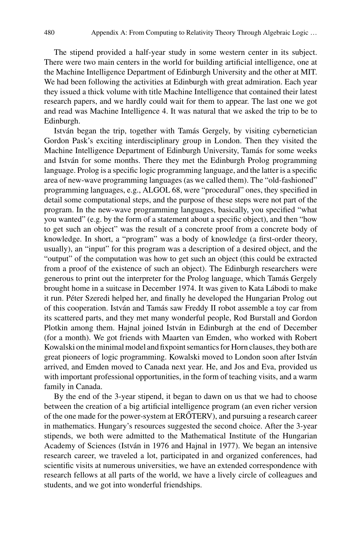The stipend provided a half-year study in some western center in its subject. There were two main centers in the world for building artificial intelligence, one at the Machine Intelligence Department of Edinburgh University and the other at MIT. We had been following the activities at Edinburgh with great admiration. Each year they issued a thick volume with title Machine Intelligence that contained their latest research papers, and we hardly could wait for them to appear. The last one we got and read was Machine Intelligence 4. It was natural that we asked the trip to be to Edinburgh.

István began the trip, together with Tamás Gergely, by visiting cybernetician Gordon Pask's exciting interdisciplinary group in London. Then they visited the Machine Intelligence Department of Edinburgh University, Tamás for some weeks and István for some months. There they met the Edinburgh Prolog programming language. Prolog is a specific logic programming language, and the latter is a specific area of new-wave programming languages (as we called them). The "old-fashioned" programming languages, e.g., ALGOL 68, were "procedural" ones, they specified in detail some computational steps, and the purpose of these steps were not part of the program. In the new-wave programming languages, basically, you specified "what you wanted" (e.g. by the form of a statement about a specific object), and then "how to get such an object" was the result of a concrete proof from a concrete body of knowledge. In short, a "program" was a body of knowledge (a first-order theory, usually), an "input" for this program was a description of a desired object, and the "output" of the computation was how to get such an object (this could be extracted from a proof of the existence of such an object). The Edinburgh researchers were generous to print out the interpreter for the Prolog language, which Tamás Gergely brought home in a suitcase in December 1974. It was given to Kata Lábodi to make it run. Péter Szeredi helped her, and finally he developed the Hungarian Prolog out of this cooperation. István and Tamás saw Freddy II robot assemble a toy car from its scattered parts, and they met many wonderful people, Rod Burstall and Gordon Plotkin among them. Hajnal joined István in Edinburgh at the end of December (for a month). We got friends with Maarten van Emden, who worked with Robert Kowalski on the minimal model and fixpoint semantics for Horn clauses, they both are great pioneers of logic programming. Kowalski moved to London soon after István arrived, and Emden moved to Canada next year. He, and Jos and Eva, provided us with important professional opportunities, in the form of teaching visits, and a warm family in Canada.

By the end of the 3-year stipend, it began to dawn on us that we had to choose between the creation of a big artificial intelligence program (an even richer version of the one made for the power-system at  $ERÓTERV$ ), and pursuing a research career in mathematics. Hungary's resources suggested the second choice. After the 3-year stipends, we both were admitted to the Mathematical Institute of the Hungarian Academy of Sciences (István in 1976 and Hajnal in 1977). We began an intensive research career, we traveled a lot, participated in and organized conferences, had scientific visits at numerous universities, we have an extended correspondence with research fellows at all parts of the world, we have a lively circle of colleagues and students, and we got into wonderful friendships.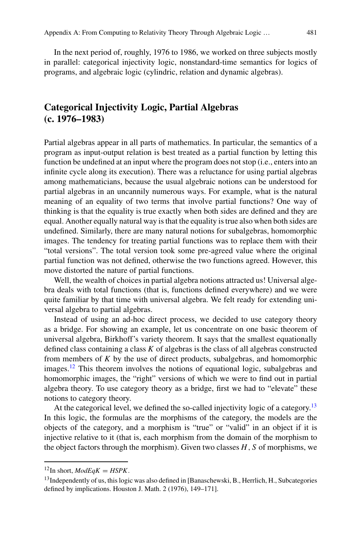In the next period of, roughly, 1976 to 1986, we worked on three subjects mostly in parallel: categorical injectivity logic, nonstandard-time semantics for logics of programs, and algebraic logic (cylindric, relation and dynamic algebras).

# **Categorical Injectivity Logic, Partial Algebras (c. 1976–1983)**

Partial algebras appear in all parts of mathematics. In particular, the semantics of a program as input-output relation is best treated as a partial function by letting this function be undefined at an input where the program does not stop (i.e., enters into an infinite cycle along its execution). There was a reluctance for using partial algebras among mathematicians, because the usual algebraic notions can be understood for partial algebras in an uncannily numerous ways. For example, what is the natural meaning of an equality of two terms that involve partial functions? One way of thinking is that the equality is true exactly when both sides are defined and they are equal. Another equally natural way is that the equality is true also when both sides are undefined. Similarly, there are many natural notions for subalgebras, homomorphic images. The tendency for treating partial functions was to replace them with their "total versions". The total version took some pre-agreed value where the original partial function was not defined, otherwise the two functions agreed. However, this move distorted the nature of partial functions.

Well, the wealth of choices in partial algebra notions attracted us! Universal algebra deals with total functions (that is, functions defined everywhere) and we were quite familiar by that time with universal algebra. We felt ready for extending universal algebra to partial algebras.

Instead of using an ad-hoc direct process, we decided to use category theory as a bridge. For showing an example, let us concentrate on one basic theorem of universal algebra, Birkhoff's variety theorem. It says that the smallest equationally defined class containing a class *K* of algebras is the class of all algebras constructed from members of *K* by the use of direct products, subalgebras, and homomorphic images.<sup>12</sup> This theorem involves the notions of equational logic, subalgebras and homomorphic images, the "right" versions of which we were to find out in partial algebra theory. To use category theory as a bridge, first we had to "elevate" these notions to category theory.

At the categorical level, we defined the so-called injectivity logic of a category.<sup>13</sup> In this logic, the formulas are the morphisms of the category, the models are the objects of the category, and a morphism is "true" or "valid" in an object if it is injective relative to it (that is, each morphism from the domain of the morphism to the object factors through the morphism). Given two classes *H*, *S* of morphisms, we

<span id="page-6-0"></span> $^{12}$ In short, *ModEqK* = *HSPK*.

<span id="page-6-1"></span> $13$ Independently of us, this logic was also defined in [Banaschewski, B., Herrlich, H., Subcategories defined by implications. Houston J. Math. 2 (1976), 149–171].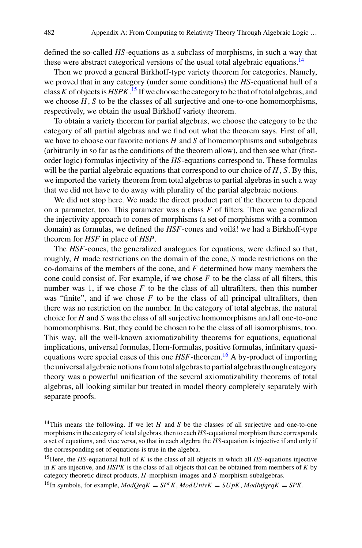defined the so-called *HS*-equations as a subclass of morphisms, in such a way that these were abstract categorical versions of the usual total algebraic equations.<sup>14</sup>

Then we proved a general Birkhoff-type variety theorem for categories. Namely, we proved that in any category (under some conditions) the *HS*-equational hull of a class*K* of objects is *HSPK*. [15](#page-7-1) If we choose the category to be that of total algebras, and we choose *H*, *S* to be the classes of all surjective and one-to-one homomorphisms, respectively, we obtain the usual Birkhoff variety theorem.

To obtain a variety theorem for partial algebras, we choose the category to be the category of all partial algebras and we find out what the theorem says. First of all, we have to choose our favorite notions *H* and *S* of homomorphisms and subalgebras (arbitrarily in so far as the conditions of the theorem allow), and then see what (firstorder logic) formulas injectivity of the *HS*-equations correspond to. These formulas will be the partial algebraic equations that correspond to our choice of *H*, *S*. By this, we imported the variety theorem from total algebras to partial algebras in such a way that we did not have to do away with plurality of the partial algebraic notions.

We did not stop here. We made the direct product part of the theorem to depend on a parameter, too. This parameter was a class  $F$  of filters. Then we generalized the injectivity approach to cones of morphisms (a set of morphisms with a common domain) as formulas, we defined the *HSF*-cones and voilá! we had a Birkhoff-type theorem for *HSF* in place of *HSP*.

The *HSF*-cones, the generalized analogues for equations, were defined so that, roughly, *H* made restrictions on the domain of the cone, *S* made restrictions on the co-domains of the members of the cone, and *F* determined how many members the cone could consist of. For example, if we chose *F* to be the class of all filters, this number was 1, if we chose  $F$  to be the class of all ultrafilters, then this number was "finite", and if we chose  $F$  to be the class of all principal ultrafilters, then there was no restriction on the number. In the category of total algebras, the natural choice for *H* and *S* was the class of all surjective homomorphisms and all one-to-one homomorphisms. But, they could be chosen to be the class of all isomorphisms, too. This way, all the well-known axiomatizability theorems for equations, equational implications, universal formulas, Horn-formulas, positive formulas, infinitary quasiequations were special cases of this one  $HSF$ -theorem.<sup>[16](#page-7-2)</sup> A by-product of importing the universal algebraic notions from total algebras to partial algebras through category theory was a powerful unification of the several axiomatizability theorems of total algebras, all looking similar but treated in model theory completely separately with separate proofs.

<span id="page-7-0"></span><sup>&</sup>lt;sup>14</sup>This means the following. If we let *H* and *S* be the classes of all surjective and one-to-one morphisms in the category of total algebras, then to each *HS*-equational morphism there corresponds a set of equations, and vice versa, so that in each algebra the *HS*-equation is injective if and only if the corresponding set of equations is true in the algebra.

<span id="page-7-1"></span><sup>15</sup>Here, the *HS*-equational hull of *K* is the class of all objects in which all *HS*-equations injective in *K* are injective, and *HSPK* is the class of all objects that can be obtained from members of *K* by category theoretic direct products, *H*-morphism-images and *S*-morphism-subalgebras.

<span id="page-7-2"></span><sup>&</sup>lt;sup>16</sup>In symbols, for example,  $ModOeqK = SP^rK$ ,  $ModUnivK = SUpK$ ,  $ModInfgeqK = SPK$ .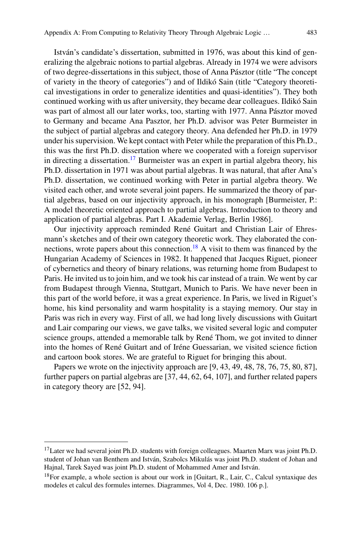István's candidate's dissertation, submitted in 1976, was about this kind of generalizing the algebraic notions to partial algebras. Already in 1974 we were advisors of two degree-dissertations in this subject, those of Anna Pásztor (title "The concept of variety in the theory of categories") and of Ildikó Sain (title "Category theoretical investigations in order to generalize identities and quasi-identities"). They both continued working with us after university, they became dear colleagues. Ildikó Sain was part of almost all our later works, too, starting with 1977. Anna Pásztor moved to Germany and became Ana Pasztor, her Ph.D. advisor was Peter Burmeister in the subject of partial algebras and category theory. Ana defended her Ph.D. in 1979 under his supervision. We kept contact with Peter while the preparation of this Ph.D., this was the first Ph.D. dissertation where we cooperated with a foreign supervisor in directing a dissertation.<sup>[17](#page-8-0)</sup> Burmeister was an expert in partial algebra theory, his Ph.D. dissertation in 1971 was about partial algebras. It was natural, that after Ana's Ph.D. dissertation, we continued working with Peter in partial algebra theory. We visited each other, and wrote several joint papers. He summarized the theory of partial algebras, based on our injectivity approach, in his monograph [Burmeister, P.: A model theoretic oriented approach to partial algebras. Introduction to theory and application of partial algebras. Part I. Akademie Verlag, Berlin 1986].

Our injectivity approach reminded René Guitart and Christian Lair of Ehresmann's sketches and of their own category theoretic work. They elaborated the connections, wrote papers about this connection.<sup>18</sup> A visit to them was financed by the Hungarian Academy of Sciences in 1982. It happened that Jacques Riguet, pioneer of cybernetics and theory of binary relations, was returning home from Budapest to Paris. He invited us to join him, and we took his car instead of a train. We went by car from Budapest through Vienna, Stuttgart, Munich to Paris. We have never been in this part of the world before, it was a great experience. In Paris, we lived in Riguet's home, his kind personality and warm hospitality is a staying memory. Our stay in Paris was rich in every way. First of all, we had long lively discussions with Guitart and Lair comparing our views, we gave talks, we visited several logic and computer science groups, attended a memorable talk by René Thom, we got invited to dinner into the homes of René Guitart and of Iréne Guessarian, we visited science fiction and cartoon book stores. We are grateful to Riguet for bringing this about.

Papers we wrote on the injectivity approach are [9, 43, 49, 48, 78, 76, 75, 80, 87], further papers on partial algebras are [37, 44, 62, 64, 107], and further related papers in category theory are [52, 94].

<span id="page-8-0"></span><sup>&</sup>lt;sup>17</sup>Later we had several joint Ph.D. students with foreign colleagues. Maarten Marx was joint Ph.D. student of Johan van Benthem and István, Szabolcs Mikulás was joint Ph.D. student of Johan and Hajnal, Tarek Sayed was joint Ph.D. student of Mohammed Amer and István.

<span id="page-8-1"></span> $18$ For example, a whole section is about our work in [Guitart, R., Lair, C., Calcul syntaxique des modeles et calcul des formules internes. Diagrammes, Vol 4, Dec. 1980. 106 p.].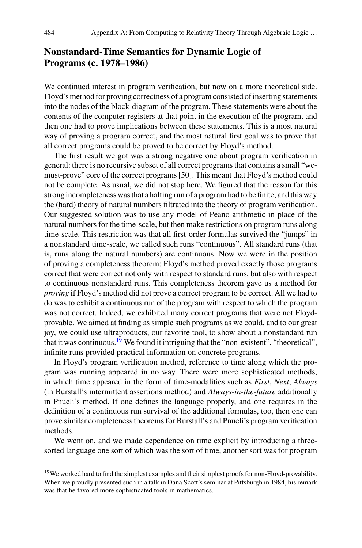# **Nonstandard-Time Semantics for Dynamic Logic of Programs (c. 1978–1986)**

We continued interest in program verification, but now on a more theoretical side. Floyd's method for proving correctness of a program consisted of inserting statements into the nodes of the block-diagram of the program. These statements were about the contents of the computer registers at that point in the execution of the program, and then one had to prove implications between these statements. This is a most natural way of proving a program correct, and the most natural first goal was to prove that all correct programs could be proved to be correct by Floyd's method.

The first result we got was a strong negative one about program verification in general: there is no recursive subset of all correct programs that contains a small "wemust-prove" core of the correct programs [50]. This meant that Floyd's method could not be complete. As usual, we did not stop here. We figured that the reason for this strong incompleteness was that a halting run of a program had to be finite, and this way the (hard) theory of natural numbers filtrated into the theory of program verification. Our suggested solution was to use any model of Peano arithmetic in place of the natural numbers for the time-scale, but then make restrictions on program runs along time-scale. This restriction was that all first-order formulas survived the "jumps" in a nonstandard time-scale, we called such runs "continuous". All standard runs (that is, runs along the natural numbers) are continuous. Now we were in the position of proving a completeness theorem: Floyd's method proved exactly those programs correct that were correct not only with respect to standard runs, but also with respect to continuous nonstandard runs. This completeness theorem gave us a method for *proving* if Floyd's method did not prove a correct program to be correct. All we had to do was to exhibit a continuous run of the program with respect to which the program was not correct. Indeed, we exhibited many correct programs that were not Floydprovable. We aimed at finding as simple such programs as we could, and to our great joy, we could use ultraproducts, our favorite tool, to show about a nonstandard run that it was continuous.<sup>[19](#page-9-0)</sup> We found it intriguing that the "non-existent", "theoretical", infinite runs provided practical information on concrete programs.

In Floyd's program verification method, reference to time along which the program was running appeared in no way. There were more sophisticated methods, in which time appeared in the form of time-modalities such as *First*, *Next*, *Always* (in Burstall's intermittent assertions method) and *Always-in-the-future* additionally in Pnueli's method. If one defines the language properly, and one requires in the definition of a continuous run survival of the additional formulas, too, then one can prove similar completeness theorems for Burstall's and Pnueli's program verification methods.

We went on, and we made dependence on time explicit by introducing a threesorted language one sort of which was the sort of time, another sort was for program

<span id="page-9-0"></span><sup>&</sup>lt;sup>19</sup>We worked hard to find the simplest examples and their simplest proofs for non-Floyd-provability. When we proudly presented such in a talk in Dana Scott's seminar at Pittsburgh in 1984, his remark was that he favored more sophisticated tools in mathematics.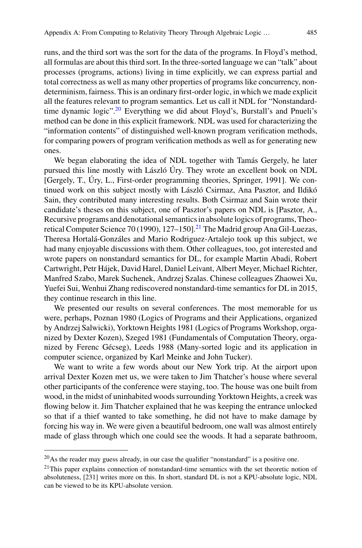runs, and the third sort was the sort for the data of the programs. In Floyd's method, all formulas are about this third sort. In the three-sorted language we can "talk" about processes (programs, actions) living in time explicitly, we can express partial and total correctness as well as many other properties of programs like concurrency, nondeterminism, fairness. This is an ordinary first-order logic, in which we made explicit all the features relevant to program semantics. Let us call it NDL for "Nonstandard-time dynamic logic".<sup>[20](#page-10-0)</sup> Everything we did about Floyd's, Burstall's and Pnueli's method can be done in this explicit framework. NDL was used for characterizing the "information contents" of distinguished well-known program verification methods, for comparing powers of program verification methods as well as for generating new ones.

We began elaborating the idea of NDL together with Tamás Gergely, he later pursued this line mostly with László Úry. They wrote an excellent book on NDL [Gergely, T., Úry, L., First-order programming theories, Springer, 1991]. We continued work on this subject mostly with László Csirmaz, Ana Pasztor, and Ildikó Sain, they contributed many interesting results. Both Csirmaz and Sain wrote their candidate's theses on this subject, one of Pasztor's papers on NDL is [Pasztor, A., Recursive programs and denotational semantics in absolute logics of programs, Theo-retical Computer Science 70 (1990), 127–150].<sup>[21](#page-10-1)</sup> The Madrid group Ana Gil-Luezas, Theresa Hortalá-Gonzáles and Mario Rodriguez-Artalejo took up this subject, we had many enjoyable discussions with them. Other colleagues, too, got interested and wrote papers on nonstandard semantics for DL, for example Martin Abadi, Robert Cartwright, Petr Hájek, David Harel, Daniel Leivant, Albert Meyer, Michael Richter, Manfred Szabo, Marek Suchenek, Andrzej Szalas. Chinese colleagues Zhaowei Xu, Yuefei Sui, Wenhui Zhang rediscovered nonstandard-time semantics for DL in 2015, they continue research in this line.

We presented our results on several conferences. The most memorable for us were, perhaps, Poznan 1980 (Logics of Programs and their Applications, organized by Andrzej Salwicki), Yorktown Heights 1981 (Logics of Programs Workshop, organized by Dexter Kozen), Szeged 1981 (Fundamentals of Computation Theory, organized by Ferenc Gécseg), Leeds 1988 (Many-sorted logic and its application in computer science, organized by Karl Meinke and John Tucker).

We want to write a few words about our New York trip. At the airport upon arrival Dexter Kozen met us, we were taken to Jim Thatcher's house where several other participants of the conference were staying, too. The house was one built from wood, in the midst of uninhabited woods surrounding Yorktown Heights, a creek was flowing below it. Jim Thatcher explained that he was keeping the entrance unlocked so that if a thief wanted to take something, he did not have to make damage by forcing his way in. We were given a beautiful bedroom, one wall was almost entirely made of glass through which one could see the woods. It had a separate bathroom,

<span id="page-10-0"></span> $^{20}$ As the reader may guess already, in our case the qualifier "nonstandard" is a positive one.

<span id="page-10-1"></span> $21$ This paper explains connection of nonstandard-time semantics with the set theoretic notion of absoluteness, [231] writes more on this. In short, standard DL is not a KPU-absolute logic, NDL can be viewed to be its KPU-absolute version.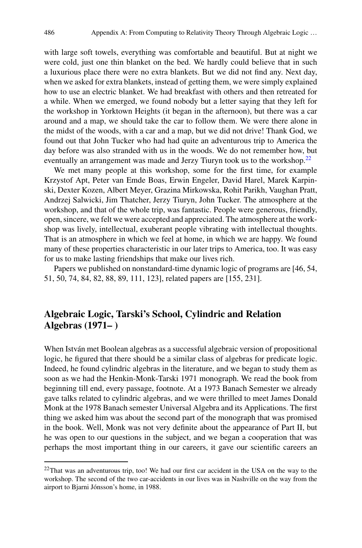with large soft towels, everything was comfortable and beautiful. But at night we were cold, just one thin blanket on the bed. We hardly could believe that in such a luxurious place there were no extra blankets. But we did not find any. Next day, when we asked for extra blankets, instead of getting them, we were simply explained how to use an electric blanket. We had breakfast with others and then retreated for a while. When we emerged, we found nobody but a letter saying that they left for the workshop in Yorktown Heights (it began in the afternoon), but there was a car around and a map, we should take the car to follow them. We were there alone in the midst of the woods, with a car and a map, but we did not drive! Thank God, we found out that John Tucker who had had quite an adventurous trip to America the day before was also stranded with us in the woods. We do not remember how, but eventually an arrangement was made and Jerzy Tiuryn took us to the workshop.<sup>22</sup>

We met many people at this workshop, some for the first time, for example Krzystof Apt, Peter van Emde Boas, Erwin Engeler, David Harel, Marek Karpinski, Dexter Kozen, Albert Meyer, Grazina Mirkowska, Rohit Parikh, Vaughan Pratt, Andrzej Salwicki, Jim Thatcher, Jerzy Tiuryn, John Tucker. The atmosphere at the workshop, and that of the whole trip, was fantastic. People were generous, friendly, open, sincere, we felt we were accepted and appreciated. The atmosphere at the workshop was lively, intellectual, exuberant people vibrating with intellectual thoughts. That is an atmosphere in which we feel at home, in which we are happy. We found many of these properties characteristic in our later trips to America, too. It was easy for us to make lasting friendships that make our lives rich.

Papers we published on nonstandard-time dynamic logic of programs are [46, 54, 51, 50, 74, 84, 82, 88, 89, 111, 123], related papers are [155, 231].

# **Algebraic Logic, Tarski's School, Cylindric and Relation Algebras (1971– )**

When István met Boolean algebras as a successful algebraic version of propositional logic, he figured that there should be a similar class of algebras for predicate logic. Indeed, he found cylindric algebras in the literature, and we began to study them as soon as we had the Henkin-Monk-Tarski 1971 monograph. We read the book from beginning till end, every passage, footnote. At a 1973 Banach Semester we already gave talks related to cylindric algebras, and we were thrilled to meet James Donald Monk at the 1978 Banach semester Universal Algebra and its Applications. The first thing we asked him was about the second part of the monograph that was promised in the book. Well, Monk was not very definite about the appearance of Part II, but he was open to our questions in the subject, and we began a cooperation that was perhaps the most important thing in our careers, it gave our scientific careers an

<span id="page-11-0"></span> $22$ That was an adventurous trip, too! We had our first car accident in the USA on the way to the workshop. The second of the two car-accidents in our lives was in Nashville on the way from the airport to Bjarni Jónsson's home, in 1988.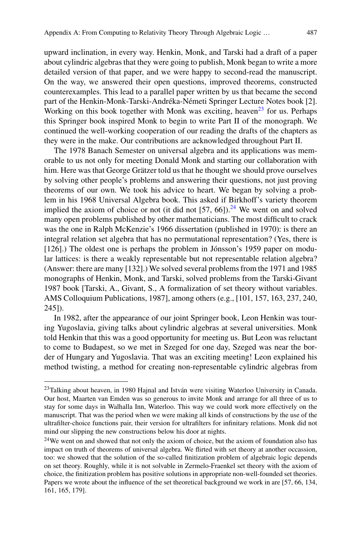upward inclination, in every way. Henkin, Monk, and Tarski had a draft of a paper about cylindric algebras that they were going to publish, Monk began to write a more detailed version of that paper, and we were happy to second-read the manuscript. On the way, we answered their open questions, improved theorems, constructed counterexamples. This lead to a parallel paper written by us that became the second part of the Henkin-Monk-Tarski-Andréka-Németi Springer Lecture Notes book [2]. Working on this book together with Monk was exciting, heaven<sup>23</sup> for us. Perhaps this Springer book inspired Monk to begin to write Part II of the monograph. We continued the well-working cooperation of our reading the drafts of the chapters as they were in the make. Our contributions are acknowledged throughout Part II.

The 1978 Banach Semester on universal algebra and its applications was memorable to us not only for meeting Donald Monk and starting our collaboration with him. Here was that George Grätzer told us that he thought we should prove ourselves by solving other people's problems and answering their questions, not just proving theorems of our own. We took his advice to heart. We began by solving a problem in his 1968 Universal Algebra book. This asked if Birkhoff's variety theorem implied the axiom of choice or not (it did not  $[57, 66]$ ).<sup>[24](#page-12-1)</sup> We went on and solved many open problems published by other mathematicians. The most difficult to crack was the one in Ralph McKenzie's 1966 dissertation (published in 1970): is there an integral relation set algebra that has no permutational representation? (Yes, there is [126].) The oldest one is perhaps the problem in Jónsson's 1959 paper on modular lattices: is there a weakly representable but not representable relation algebra? (Answer: there are many [132].) We solved several problems from the 1971 and 1985 monographs of Henkin, Monk, and Tarski, solved problems from the Tarski-Givant 1987 book [Tarski, A., Givant, S., A formalization of set theory without variables. AMS Colloquium Publications, 1987], among others (e.g., [101, 157, 163, 237, 240, 245]).

In 1982, after the appearance of our joint Springer book, Leon Henkin was touring Yugoslavia, giving talks about cylindric algebras at several universities. Monk told Henkin that this was a good opportunity for meeting us. But Leon was reluctant to come to Budapest, so we met in Szeged for one day, Szeged was near the border of Hungary and Yugoslavia. That was an exciting meeting! Leon explained his method twisting, a method for creating non-representable cylindric algebras from

<span id="page-12-0"></span><sup>&</sup>lt;sup>23</sup>Talking about heaven, in 1980 Hajnal and István were visiting Waterloo University in Canada. Our host, Maarten van Emden was so generous to invite Monk and arrange for all three of us to stay for some days in Walhalla Inn, Waterloo. This way we could work more effectively on the manuscript. That was the period when we were making all kinds of constructions by the use of the ultrafilter-choice functions pair, their version for ultrafilters for infinitary relations. Monk did not mind our slipping the new constructions below his door at nights.

<span id="page-12-1"></span><sup>&</sup>lt;sup>24</sup>We went on and showed that not only the axiom of choice, but the axiom of foundation also has impact on truth of theorems of universal algebra. We flirted with set theory at another occassion, too: we showed that the solution of the so-called finitization problem of algebraic logic depends on set theory. Roughly, while it is not solvable in Zermelo-Fraenkel set theory with the axiom of choice, the finitization problem has positive solutions in appropriate non-well-founded set theories. Papers we wrote about the influence of the set theoretical background we work in are [57, 66, 134, 161, 165, 179].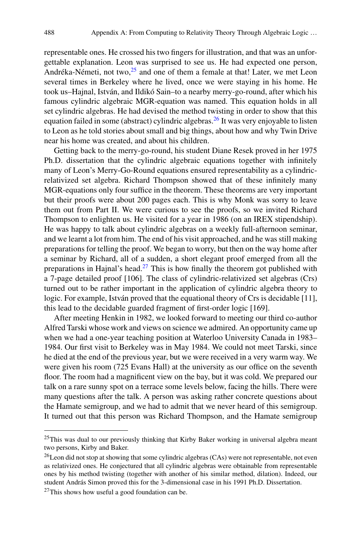representable ones. He crossed his two fingers for illustration, and that was an unforgettable explanation. Leon was surprised to see us. He had expected one person, Andréka-Németi, not two,<sup>[25](#page-13-0)</sup> and one of them a female at that! Later, we met Leon several times in Berkeley where he lived, once we were staying in his home. He took us–Hajnal, István, and Ildikó Sain–to a nearby merry-go-round, after which his famous cylindric algebraic MGR-equation was named. This equation holds in all set cylindric algebras. He had devised the method twisting in order to show that this equation failed in some (abstract) cylindric algebras.<sup>26</sup> It was very enjoyable to listen to Leon as he told stories about small and big things, about how and why Twin Drive near his home was created, and about his children.

Getting back to the merry-go-round, his student Diane Resek proved in her 1975 Ph.D. dissertation that the cylindric algebraic equations together with infinitely many of Leon's Merry-Go-Round equations ensured representability as a cylindricrelativized set algebra. Richard Thompson showed that of these infinitely many MGR-equations only four suffice in the theorem. These theorems are very important but their proofs were about 200 pages each. This is why Monk was sorry to leave them out from Part II. We were curious to see the proofs, so we invited Richard Thompson to enlighten us. He visited for a year in 1986 (on an IREX stipendship). He was happy to talk about cylindric algebras on a weekly full-afternoon seminar, and we learnt a lot from him. The end of his visit approached, and he was still making preparations for telling the proof. We began to worry, but then on the way home after a seminar by Richard, all of a sudden, a short elegant proof emerged from all the preparations in Hajnal's head.[27](#page-13-2) This is how finally the theorem got published with a 7-page detailed proof [106]. The class of cylindric-relativized set algebras (Crs) turned out to be rather important in the application of cylindric algebra theory to logic. For example, István proved that the equational theory of Crs is decidable [11], this lead to the decidable guarded fragment of first-order logic [169].

After meeting Henkin in 1982, we looked forward to meeting our third co-author Alfred Tarski whose work and views on science we admired. An opportunity came up when we had a one-year teaching position at Waterloo University Canada in 1983– 1984. Our first visit to Berkeley was in May 1984. We could not meet Tarski, since he died at the end of the previous year, but we were received in a very warm way. We were given his room (725 Evans Hall) at the university as our office on the seventh floor. The room had a magnificent view on the bay, but it was cold. We prepared our talk on a rare sunny spot on a terrace some levels below, facing the hills. There were many questions after the talk. A person was asking rather concrete questions about the Hamate semigroup, and we had to admit that we never heard of this semigroup. It turned out that this person was Richard Thompson, and the Hamate semigroup

<span id="page-13-0"></span><sup>&</sup>lt;sup>25</sup>This was dual to our previously thinking that Kirby Baker working in universal algebra meant two persons, Kirby and Baker.

<span id="page-13-1"></span> $^{26}$ Leon did not stop at showing that some cylindric algebras (CAs) were not representable, not even as relativized ones. He conjectured that all cylindric algebras were obtainable from representable ones by his method twisting (together with another of his similar method, dilation). Indeed, our student András Simon proved this for the 3-dimensional case in his 1991 Ph.D. Dissertation.

<span id="page-13-2"></span> $27$ This shows how useful a good foundation can be.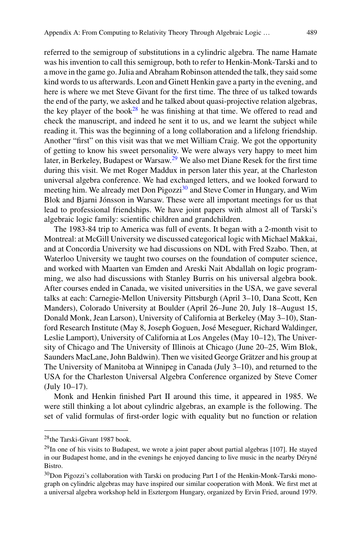referred to the semigroup of substitutions in a cylindric algebra. The name Hamate was his invention to call this semigroup, both to refer to Henkin-Monk-Tarski and to a move in the game go. Julia and Abraham Robinson attended the talk, they said some kind words to us afterwards. Leon and Ginett Henkin gave a party in the evening, and here is where we met Steve Givant for the first time. The three of us talked towards the end of the party, we asked and he talked about quasi-projective relation algebras, the key player of the book<sup>[28](#page-14-0)</sup> he was finishing at that time. We offered to read and check the manuscript, and indeed he sent it to us, and we learnt the subject while reading it. This was the beginning of a long collaboration and a lifelong friendship. Another "first" on this visit was that we met William Craig. We got the opportunity of getting to know his sweet personality. We were always very happy to meet him later, in Berkeley, Budapest or Warsaw[.29](#page-14-1) We also met Diane Resek for the first time during this visit. We met Roger Maddux in person later this year, at the Charleston universal algebra conference. We had exchanged letters, and we looked forward to meeting him. We already met Don Pigozzi<sup>30</sup> and Steve Comer in Hungary, and Wim Blok and Bjarni Jónsson in Warsaw. These were all important meetings for us that lead to professional friendships. We have joint papers with almost all of Tarski's algebraic logic family: scientific children and grandchildren.

The 1983-84 trip to America was full of events. It began with a 2-month visit to Montreal: at McGill University we discussed categorical logic with Michael Makkai, and at Concordia University we had discussions on NDL with Fred Szabo. Then, at Waterloo University we taught two courses on the foundation of computer science, and worked with Maarten van Emden and Areski Nait Abdallah on logic programming, we also had discussions with Stanley Burris on his universal algebra book. After courses ended in Canada, we visited universities in the USA, we gave several talks at each: Carnegie-Mellon University Pittsburgh (April 3–10, Dana Scott, Ken Manders), Colorado University at Boulder (April 26–June 20, July 18–August 15, Donald Monk, Jean Larson), University of California at Berkeley (May 3–10), Stanford Research Institute (May 8, Joseph Goguen, José Meseguer, Richard Waldinger, Leslie Lamport), University of California at Los Angeles (May 10–12), The University of Chicago and The University of Illinois at Chicago (June 20–25, Wim Blok, Saunders MacLane, John Baldwin). Then we visited George Grätzer and his group at The University of Manitoba at Winnipeg in Canada (July 3–10), and returned to the USA for the Charleston Universal Algebra Conference organized by Steve Comer (July 10–17).

Monk and Henkin finished Part II around this time, it appeared in 1985. We were still thinking a lot about cylindric algebras, an example is the following. The set of valid formulas of first-order logic with equality but no function or relation

<span id="page-14-0"></span><sup>28</sup>the Tarski-Givant 1987 book.

<span id="page-14-1"></span> $29$ In one of his visits to Budapest, we wrote a joint paper about partial algebras [107]. He stayed in our Budapest home, and in the evenings he enjoyed dancing to live music in the nearby Déryné Bistro.

<span id="page-14-2"></span><sup>&</sup>lt;sup>30</sup>Don Pigozzi's collaboration with Tarski on producing Part I of the Henkin-Monk-Tarski monograph on cylindric algebras may have inspired our similar cooperation with Monk. We first met at a universal algebra workshop held in Esztergom Hungary, organized by Ervin Fried, around 1979.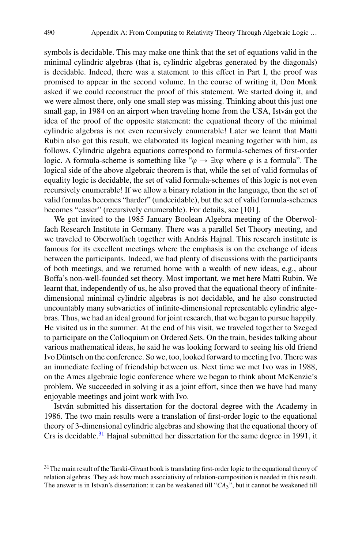symbols is decidable. This may make one think that the set of equations valid in the minimal cylindric algebras (that is, cylindric algebras generated by the diagonals) is decidable. Indeed, there was a statement to this effect in Part I, the proof was promised to appear in the second volume. In the course of writing it, Don Monk asked if we could reconstruct the proof of this statement. We started doing it, and we were almost there, only one small step was missing. Thinking about this just one small gap, in 1984 on an airport when traveling home from the USA, István got the idea of the proof of the opposite statement: the equational theory of the minimal cylindric algebras is not even recursively enumerable! Later we learnt that Matti Rubin also got this result, we elaborated its logical meaning together with him, as follows. Cylindric algebra equations correspond to formula-schemes of first-order logic. A formula-scheme is something like " $\varphi \to \exists x \varphi$  where  $\varphi$  is a formula". The logical side of the above algebraic theorem is that, while the set of valid formulas of equality logic is decidable, the set of valid formula-schemes of this logic is not even recursively enumerable! If we allow a binary relation in the language, then the set of valid formulas becomes "harder" (undecidable), but the set of valid formula-schemes becomes "easier" (recursively enumerable). For details, see [101].

We got invited to the 1985 January Boolean Algebra meeting of the Oberwolfach Research Institute in Germany. There was a parallel Set Theory meeting, and we traveled to Oberwolfach together with András Hajnal. This research institute is famous for its excellent meetings where the emphasis is on the exchange of ideas between the participants. Indeed, we had plenty of discussions with the participants of both meetings, and we returned home with a wealth of new ideas, e.g., about Boffa's non-well-founded set theory. Most important, we met here Matti Rubin. We learnt that, independently of us, he also proved that the equational theory of infinitedimensional minimal cylindric algebras is not decidable, and he also constructed uncountably many subvarieties of infinite-dimensional representable cylindric algebras. Thus, we had an ideal ground for joint research, that we began to pursue happily. He visited us in the summer. At the end of his visit, we traveled together to Szeged to participate on the Colloquium on Ordered Sets. On the train, besides talking about various mathematical ideas, he said he was looking forward to seeing his old friend Ivo Düntsch on the conference. So we, too, looked forward to meeting Ivo. There was an immediate feeling of friendship between us. Next time we met Ivo was in 1988, on the Ames algebraic logic conference where we began to think about McKenzie's problem. We succeeded in solving it as a joint effort, since then we have had many enjoyable meetings and joint work with Ivo.

István submitted his dissertation for the doctoral degree with the Academy in 1986. The two main results were a translation of first-order logic to the equational theory of 3-dimensional cylindric algebras and showing that the equational theory of Crs is decidable.<sup>31</sup> Hajnal submitted her dissertation for the same degree in 1991, it

<span id="page-15-0"></span><sup>&</sup>lt;sup>31</sup>The main result of the Tarski-Givant book is translating first-order logic to the equational theory of relation algebras. They ask how much associativity of relation-composition is needed in this result. The answer is in Istvan's dissertation: it can be weakened till "*CA*3", but it cannot be weakened till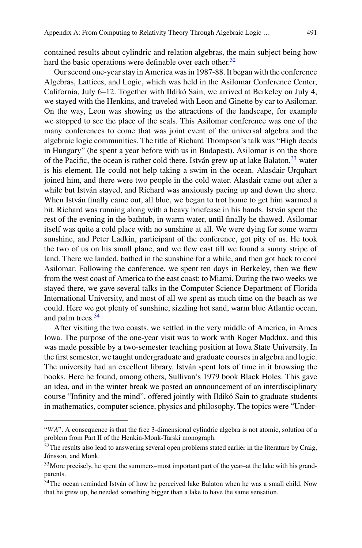contained results about cylindric and relation algebras, the main subject being how hard the basic operations were definable over each other.<sup>32</sup>

Our second one-year stay in America was in 1987-88. It began with the conference Algebras, Lattices, and Logic, which was held in the Asilomar Conference Center, California, July 6–12. Together with Ildikó Sain, we arrived at Berkeley on July 4, we stayed with the Henkins, and traveled with Leon and Ginette by car to Asilomar. On the way, Leon was showing us the attractions of the landscape, for example we stopped to see the place of the seals. This Asilomar conference was one of the many conferences to come that was joint event of the universal algebra and the algebraic logic communities. The title of Richard Thompson's talk was "High deeds in Hungary" (he spent a year before with us in Budapest). Asilomar is on the shore of the Pacific, the ocean is rather cold there. István grew up at lake Balaton,  $33$  water is his element. He could not help taking a swim in the ocean. Alasdair Urquhart joined him, and there were two people in the cold water. Alasdair came out after a while but István stayed, and Richard was anxiously pacing up and down the shore. When István finally came out, all blue, we began to trot home to get him warmed a bit. Richard was running along with a heavy briefcase in his hands. István spent the rest of the evening in the bathtub, in warm water, until finally he thawed. Asilomar itself was quite a cold place with no sunshine at all. We were dying for some warm sunshine, and Peter Ladkin, participant of the conference, got pity of us. He took the two of us on his small plane, and we flew east till we found a sunny stripe of land. There we landed, bathed in the sunshine for a while, and then got back to cool Asilomar. Following the conference, we spent ten days in Berkeley, then we flew from the west coast of America to the east coast: to Miami. During the two weeks we stayed there, we gave several talks in the Computer Science Department of Florida International University, and most of all we spent as much time on the beach as we could. Here we got plenty of sunshine, sizzling hot sand, warm blue Atlantic ocean, and palm trees.<sup>[34](#page-16-2)</sup>

After visiting the two coasts, we settled in the very middle of America, in Ames Iowa. The purpose of the one-year visit was to work with Roger Maddux, and this was made possible by a two-semester teaching position at Iowa State University. In the first semester, we taught undergraduate and graduate courses in algebra and logic. The university had an excellent library, István spent lots of time in it browsing the books. Here he found, among others, Sullivan's 1979 book Black Holes. This gave an idea, and in the winter break we posted an announcement of an interdisciplinary course "Infinity and the mind", offered jointly with Ildikó Sain to graduate students in mathematics, computer science, physics and philosophy. The topics were "Under-

<sup>&</sup>quot;WA". A consequence is that the free 3-dimensional cylindric algebra is not atomic, solution of a problem from Part II of the Henkin-Monk-Tarski monograph.

<span id="page-16-0"></span> $32$ The results also lead to answering several open problems stated earlier in the literature by Craig, Jónsson, and Monk.

<span id="page-16-1"></span><sup>&</sup>lt;sup>33</sup>More precisely, he spent the summers–most important part of the year–at the lake with his grandparents.

<span id="page-16-2"></span><sup>&</sup>lt;sup>34</sup>The ocean reminded István of how he perceived lake Balaton when he was a small child. Now that he grew up, he needed something bigger than a lake to have the same sensation.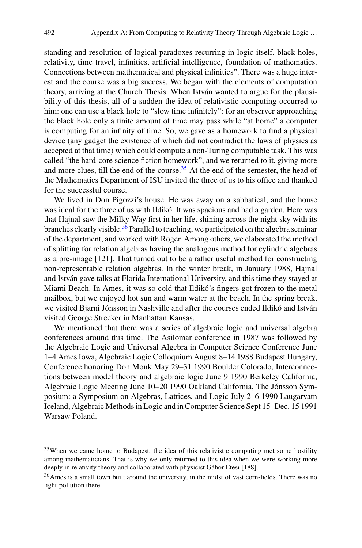standing and resolution of logical paradoxes recurring in logic itself, black holes, relativity, time travel, infinities, artificial intelligence, foundation of mathematics. Connections between mathematical and physical infinities". There was a huge interest and the course was a big success. We began with the elements of computation theory, arriving at the Church Thesis. When István wanted to argue for the plausibility of this thesis, all of a sudden the idea of relativistic computing occurred to him: one can use a black hole to "slow time infinitely": for an observer approaching the black hole only a finite amount of time may pass while "at home" a computer is computing for an infinity of time. So, we gave as a homework to find a physical device (any gadget the existence of which did not contradict the laws of physics as accepted at that time) which could compute a non-Turing computable task. This was called "the hard-core science fiction homework", and we returned to it, giving more and more clues, till the end of the course.<sup>35</sup> At the end of the semester, the head of the Mathematics Department of ISU invited the three of us to his office and thanked for the successful course.

We lived in Don Pigozzi's house. He was away on a sabbatical, and the house was ideal for the three of us with Ildikó. It was spacious and had a garden. Here was that Hajnal saw the Milky Way first in her life, shining across the night sky with its branches clearly visible.<sup>36</sup> Parallel to teaching, we participated on the algebra seminar of the department, and worked with Roger. Among others, we elaborated the method of splitting for relation algebras having the analogous method for cylindric algebras as a pre-image [121]. That turned out to be a rather useful method for constructing non-representable relation algebras. In the winter break, in January 1988, Hajnal and István gave talks at Florida International University, and this time they stayed at Miami Beach. In Ames, it was so cold that Ildikó's fingers got frozen to the metal mailbox, but we enjoyed hot sun and warm water at the beach. In the spring break, we visited Bjarni Jónsson in Nashville and after the courses ended Ildikó and István visited George Strecker in Manhattan Kansas.

We mentioned that there was a series of algebraic logic and universal algebra conferences around this time. The Asilomar conference in 1987 was followed by the Algebraic Logic and Universal Algebra in Computer Science Conference June 1–4 Ames Iowa, Algebraic Logic Colloquium August 8–14 1988 Budapest Hungary, Conference honoring Don Monk May 29–31 1990 Boulder Colorado, Interconnections between model theory and algebraic logic June 9 1990 Berkeley California, Algebraic Logic Meeting June 10–20 1990 Oakland California, The Jónsson Symposium: a Symposium on Algebras, Lattices, and Logic July 2–6 1990 Laugarvatn Iceland, Algebraic Methods in Logic and in Computer Science Sept 15–Dec. 15 1991 Warsaw Poland.

<span id="page-17-0"></span><sup>&</sup>lt;sup>35</sup>When we came home to Budapest, the idea of this relativistic computing met some hostility among mathematicians. That is why we only returned to this idea when we were working more deeply in relativity theory and collaborated with physicist Gábor Etesi [188].

<span id="page-17-1"></span><sup>36</sup>Ames is a small town built around the university, in the midst of vast corn-fields. There was no light-pollution there.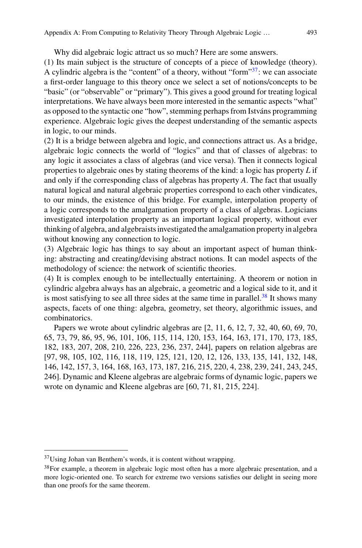Why did algebraic logic attract us so much? Here are some answers.

(1) Its main subject is the structure of concepts of a piece of knowledge (theory). A cylindric algebra is the "content" of a theory, without "form"<sup>37</sup>: we can associate a first-order language to this theory once we select a set of notions/concepts to be "basic" (or "observable" or "primary"). This gives a good ground for treating logical interpretations. We have always been more interested in the semantic aspects "what" as opposed to the syntactic one "how", stemming perhaps from Istváns programming experience. Algebraic logic gives the deepest understanding of the semantic aspects in logic, to our minds.

(2) It is a bridge between algebra and logic, and connections attract us. As a bridge, algebraic logic connects the world of "logics" and that of classes of algebras: to any logic it associates a class of algebras (and vice versa). Then it connects logical properties to algebraic ones by stating theorems of the kind: a logic has property *L* if and only if the corresponding class of algebras has property *A*. The fact that usually natural logical and natural algebraic properties correspond to each other vindicates, to our minds, the existence of this bridge. For example, interpolation property of a logic corresponds to the amalgamation property of a class of algebras. Logicians investigated interpolation property as an important logical property, without ever thinking of algebra, and algebraists investigated the amalgamation property in algebra without knowing any connection to logic.

(3) Algebraic logic has things to say about an important aspect of human thinking: abstracting and creating/devising abstract notions. It can model aspects of the methodology of science: the network of scientific theories.

(4) It is complex enough to be intellectually entertaining. A theorem or notion in cylindric algebra always has an algebraic, a geometric and a logical side to it, and it is most satisfying to see all three sides at the same time in parallel.<sup>[38](#page-18-1)</sup> It shows many aspects, facets of one thing: algebra, geometry, set theory, algorithmic issues, and combinatorics.

Papers we wrote about cylindric algebras are [2, 11, 6, 12, 7, 32, 40, 60, 69, 70, 65, 73, 79, 86, 95, 96, 101, 106, 115, 114, 120, 153, 164, 163, 171, 170, 173, 185, 182, 183, 207, 208, 210, 226, 223, 236, 237, 244], papers on relation algebras are [97, 98, 105, 102, 116, 118, 119, 125, 121, 120, 12, 126, 133, 135, 141, 132, 148, 146, 142, 157, 3, 164, 168, 163, 173, 187, 216, 215, 220, 4, 238, 239, 241, 243, 245, 246]. Dynamic and Kleene algebras are algebraic forms of dynamic logic, papers we wrote on dynamic and Kleene algebras are [60, 71, 81, 215, 224].

<span id="page-18-0"></span><sup>37</sup>Using Johan van Benthem's words, it is content without wrapping.

<span id="page-18-1"></span><sup>&</sup>lt;sup>38</sup>For example, a theorem in algebraic logic most often has a more algebraic presentation, and a more logic-oriented one. To search for extreme two versions satisfies our delight in seeing more than one proofs for the same theorem.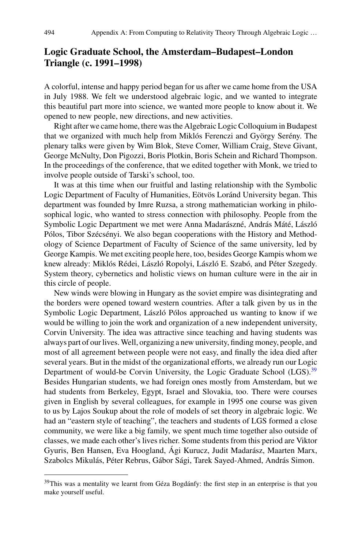# **Logic Graduate School, the Amsterdam–Budapest–London Triangle (c. 1991–1998)**

A colorful, intense and happy period began for us after we came home from the USA in July 1988. We felt we understood algebraic logic, and we wanted to integrate this beautiful part more into science, we wanted more people to know about it. We opened to new people, new directions, and new activities.

Right after we came home, there was the Algebraic Logic Colloquium in Budapest that we organized with much help from Miklós Ferenczi and György Serény. The plenary talks were given by Wim Blok, Steve Comer, William Craig, Steve Givant, George McNulty, Don Pigozzi, Boris Plotkin, Boris Schein and Richard Thompson. In the proceedings of the conference, that we edited together with Monk, we tried to involve people outside of Tarski's school, too.

It was at this time when our fruitful and lasting relationship with the Symbolic Logic Department of Faculty of Humanities, Eötvös Loránd University began. This department was founded by Imre Ruzsa, a strong mathematician working in philosophical logic, who wanted to stress connection with philosophy. People from the Symbolic Logic Department we met were Anna Madarászné, András Máté, László Pólos, Tibor Szécsényi. We also began cooperations with the History and Methodology of Science Department of Faculty of Science of the same university, led by George Kampis. We met exciting people here, too, besides George Kampis whom we knew already: Miklós Rédei, László Ropolyi, László E. Szabó, and Péter Szegedy. System theory, cybernetics and holistic views on human culture were in the air in this circle of people.

New winds were blowing in Hungary as the soviet empire was disintegrating and the borders were opened toward western countries. After a talk given by us in the Symbolic Logic Department, László Pólos approached us wanting to know if we would be willing to join the work and organization of a new independent university, Corvin University. The idea was attractive since teaching and having students was always part of our lives.Well, organizing a new university, finding money, people, and most of all agreement between people were not easy, and finally the idea died after several years. But in the midst of the organizational efforts, we already run our Logic Department of would-be Corvin University, the Logic Graduate School (LGS).<sup>[39](#page-19-0)</sup> Besides Hungarian students, we had foreign ones mostly from Amsterdam, but we had students from Berkeley, Egypt, Israel and Slovakia, too. There were courses given in English by several colleagues, for example in 1995 one course was given to us by Lajos Soukup about the role of models of set theory in algebraic logic. We had an "eastern style of teaching", the teachers and students of LGS formed a close community, we were like a big family, we spent much time together also outside of classes, we made each other's lives richer. Some students from this period are Viktor Gyuris, Ben Hansen, Eva Hoogland, Ági Kurucz, Judit Madarász, Maarten Marx, Szabolcs Mikulás, Péter Rebrus, Gábor Sági, Tarek Sayed-Ahmed, András Simon.

<span id="page-19-0"></span><sup>&</sup>lt;sup>39</sup>This was a mentality we learnt from Géza Bogdánfy: the first step in an enterprise is that you make yourself useful.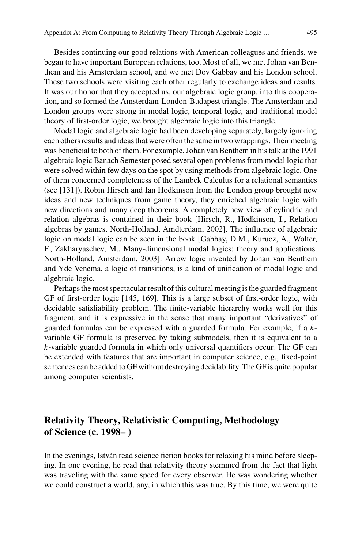Besides continuing our good relations with American colleagues and friends, we began to have important European relations, too. Most of all, we met Johan van Benthem and his Amsterdam school, and we met Dov Gabbay and his London school. These two schools were visiting each other regularly to exchange ideas and results. It was our honor that they accepted us, our algebraic logic group, into this cooperation, and so formed the Amsterdam-London-Budapest triangle. The Amsterdam and London groups were strong in modal logic, temporal logic, and traditional model theory of first-order logic, we brought algebraic logic into this triangle.

Modal logic and algebraic logic had been developing separately, largely ignoring each others results and ideas that were often the same in two wrappings. Their meeting was beneficial to both of them. For example, Johan van Benthem in his talk at the 1991 algebraic logic Banach Semester posed several open problems from modal logic that were solved within few days on the spot by using methods from algebraic logic. One of them concerned completeness of the Lambek Calculus for a relational semantics (see [131]). Robin Hirsch and Ian Hodkinson from the London group brought new ideas and new techniques from game theory, they enriched algebraic logic with new directions and many deep theorems. A completely new view of cylindric and relation algebras is contained in their book [Hirsch, R., Hodkinson, I., Relation algebras by games. North-Holland, Amdterdam, 2002]. The influence of algebraic logic on modal logic can be seen in the book [Gabbay, D.M., Kurucz, A., Wolter, F., Zakharyaschev, M., Many-dimensional modal logics: theory and applications. North-Holland, Amsterdam, 2003]. Arrow logic invented by Johan van Benthem and Yde Venema, a logic of transitions, is a kind of unification of modal logic and algebraic logic.

Perhaps the most spectacular result of this cultural meeting is the guarded fragment GF of first-order logic [145, 169]. This is a large subset of first-order logic, with decidable satisfiability problem. The finite-variable hierarchy works well for this fragment, and it is expressive in the sense that many important "derivatives" of guarded formulas can be expressed with a guarded formula. For example, if a *k*variable GF formula is preserved by taking submodels, then it is equivalent to a *k*-variable guarded formula in which only universal quantifiers occur. The GF can be extended with features that are important in computer science, e.g., fixed-point sentences can be added to GF without destroying decidability. The GF is quite popular among computer scientists.

# **Relativity Theory, Relativistic Computing, Methodology of Science (c. 1998– )**

In the evenings, István read science fiction books for relaxing his mind before sleeping. In one evening, he read that relativity theory stemmed from the fact that light was traveling with the same speed for every observer. He was wondering whether we could construct a world, any, in which this was true. By this time, we were quite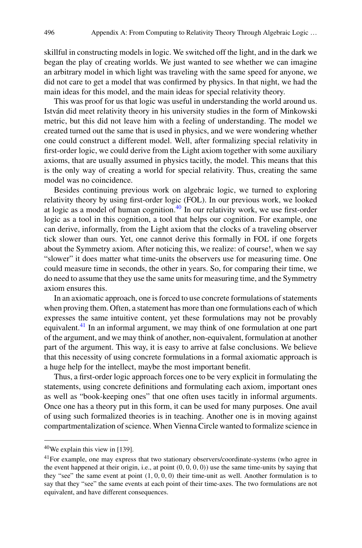skillful in constructing models in logic. We switched off the light, and in the dark we began the play of creating worlds. We just wanted to see whether we can imagine an arbitrary model in which light was traveling with the same speed for anyone, we did not care to get a model that was confirmed by physics. In that night, we had the main ideas for this model, and the main ideas for special relativity theory.

This was proof for us that logic was useful in understanding the world around us. István did meet relativity theory in his university studies in the form of Minkowski metric, but this did not leave him with a feeling of understanding. The model we created turned out the same that is used in physics, and we were wondering whether one could construct a different model. Well, after formalizing special relativity in first-order logic, we could derive from the Light axiom together with some auxiliary axioms, that are usually assumed in physics tacitly, the model. This means that this is the only way of creating a world for special relativity. Thus, creating the same model was no coincidence.

Besides continuing previous work on algebraic logic, we turned to exploring relativity theory by using first-order logic (FOL). In our previous work, we looked at logic as a model of human cognition. $40$  In our relativity work, we use first-order logic as a tool in this cognition, a tool that helps our cognition. For example, one can derive, informally, from the Light axiom that the clocks of a traveling observer tick slower than ours. Yet, one cannot derive this formally in FOL if one forgets about the Symmetry axiom. After noticing this, we realize: of course!, when we say "slower" it does matter what time-units the observers use for measuring time. One could measure time in seconds, the other in years. So, for comparing their time, we do need to assume that they use the same units for measuring time, and the Symmetry axiom ensures this.

In an axiomatic approach, one is forced to use concrete formulations of statements when proving them. Often, a statement has more than one formulations each of which expresses the same intuitive content, yet these formulations may not be provably equivalent.<sup>[41](#page-21-1)</sup> In an informal argument, we may think of one formulation at one part of the argument, and we may think of another, non-equivalent, formulation at another part of the argument. This way, it is easy to arrive at false conclusions. We believe that this necessity of using concrete formulations in a formal axiomatic approach is a huge help for the intellect, maybe the most important benefit.

Thus, a first-order logic approach forces one to be very explicit in formulating the statements, using concrete definitions and formulating each axiom, important ones as well as "book-keeping ones" that one often uses tacitly in informal arguments. Once one has a theory put in this form, it can be used for many purposes. One avail of using such formalized theories is in teaching. Another one is in moving against compartmentalization of science. When Vienna Circle wanted to formalize science in

<span id="page-21-0"></span> $40$ We explain this view in [139].

<span id="page-21-1"></span><sup>&</sup>lt;sup>41</sup>For example, one may express that two stationary observers/coordinate-systems (who agree in the event happened at their origin, i.e., at point  $(0, 0, 0, 0)$  use the same time-units by saying that they "see" the same event at point  $(1, 0, 0, 0)$  their time-unit as well. Another formulation is to say that they "see" the same events at each point of their time-axes. The two formulations are not equivalent, and have different consequences.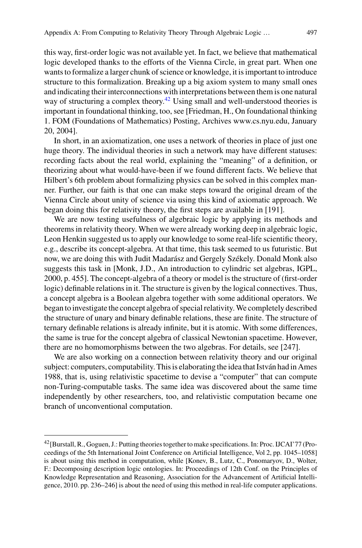this way, first-order logic was not available yet. In fact, we believe that mathematical logic developed thanks to the efforts of the Vienna Circle, in great part. When one wants to formalize a larger chunk of science or knowledge, it is important to introduce structure to this formalization. Breaking up a big axiom system to many small ones and indicating their interconnections with interpretations between them is one natural way of structuring a complex theory.<sup>42</sup> Using small and well-understood theories is important in foundational thinking, too, see [Friedman, H., On foundational thinking 1. FOM (Foundations of Mathematics) Posting, Archives www.cs.nyu.edu, January 20, 2004].

In short, in an axiomatization, one uses a network of theories in place of just one huge theory. The individual theories in such a network may have different statuses: recording facts about the real world, explaining the "meaning" of a definition, or theorizing about what would-have-been if we found different facts. We believe that Hilbert's 6th problem about formalizing physics can be solved in this complex manner. Further, our faith is that one can make steps toward the original dream of the Vienna Circle about unity of science via using this kind of axiomatic approach. We began doing this for relativity theory, the first steps are available in [191].

We are now testing usefulness of algebraic logic by applying its methods and theorems in relativity theory. When we were already working deep in algebraic logic, Leon Henkin suggested us to apply our knowledge to some real-life scientific theory, e.g., describe its concept-algebra. At that time, this task seemed to us futuristic. But now, we are doing this with Judit Madarász and Gergely Székely. Donald Monk also suggests this task in [Monk, J.D., An introduction to cylindric set algebras, IGPL, 2000, p. 455]. The concept-algebra of a theory or model is the structure of (first-order logic) definable relations in it. The structure is given by the logical connectives. Thus, a concept algebra is a Boolean algebra together with some additional operators. We began to investigate the concept algebra of special relativity.We completely described the structure of unary and binary definable relations, these are finite. The structure of ternary definable relations is already infinite, but it is atomic. With some differences, the same is true for the concept algebra of classical Newtonian spacetime. However, there are no homomorphisms between the two algebras. For details, see [247].

We are also working on a connection between relativity theory and our original subject: computers, computability. This is elaborating the idea that István had in Ames 1988, that is, using relativistic spacetime to devise a "computer" that can compute non-Turing-computable tasks. The same idea was discovered about the same time independently by other researchers, too, and relativistic computation became one branch of unconventional computation.

<span id="page-22-0"></span><sup>42[</sup>Burstall, R., Goguen, J.: Putting theories together to make specifications. In: Proc. IJCAI'77 (Proceedings of the 5th International Joint Conference on Artificial Intelligence, Vol 2, pp. 1045–1058] is about using this method in computation, while [Konev, B., Lutz, C., Ponomaryov, D., Wolter, F.: Decomposing description logic ontologies. In: Proceedings of 12th Conf. on the Principles of Knowledge Representation and Reasoning, Association for the Advancement of Artificial Intelligence, 2010. pp. 236–246] is about the need of using this method in real-life computer applications.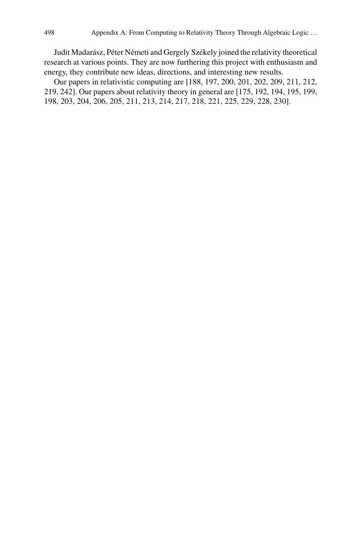Judit Madarász, Péter Németi and Gergely Székely joined the relativity theoretical research at various points. They are now furthering this project with enthusiasm and energy, they contribute new ideas, directions, and interesting new results.

Our papers in relativistic computing are [188, 197, 200, 201, 202, 209, 211, 212, 219, 242]. Our papers about relativity theory in general are [175, 192, 194, 195, 199, 198, 203, 204, 206, 205, 211, 213, 214, 217, 218, 221, 225, 229, 228, 230].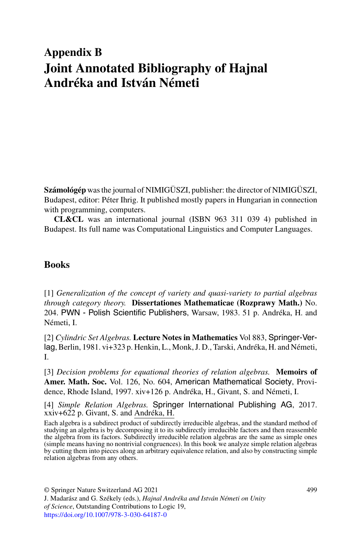# **Appendix B Joint Annotated Bibliography of Hajnal Andréka and István Németi**

**Számológép** was the journal of NIMIGÜSZI, publisher: the director of NIMIGÜSZI, Budapest, editor: Péter Ihrig. It published mostly papers in Hungarian in connection with programming, computers.

**CL&CL** was an international journal (ISBN 963 311 039 4) published in Budapest. Its full name was Computational Linguistics and Computer Languages.

## **Books**

[1] *Generalization of the concept of variety and quasi-variety to partial algebras through category theory.* **Dissertationes Mathematicae (Rozprawy Math.)** No. 204. PWN - Polish Scientific Publishers, Warsaw, 1983. 51 p. Andréka, H. and Németi, I.

[2] *Cylindric Set Algebras.* **Lecture Notes in Mathematics** Vol 883, Springer-Verlag, Berlin, 1981. vi+323 p. Henkin, L., Monk, J. D., Tarski, Andréka, H. and Németi, I.

[3] *Decision problems for equational theories of relation algebras.* **Memoirs of Amer. Math. Soc.** Vol. 126, No. 604, American Mathematical Society, Providence, Rhode Island, 1997. xiv+126 p. Andréka, H., Givant, S. and Németi, I.

[4] *Simple Relation Algebras.* Springer International Publishing AG, 2017. xxiv+622 p. Givant, S. and Andréka, H.

Each algebra is a subdirect product of subdirectly irreducible algebras, and the standard method of studying an algebra is by decomposing it to its subdirectly irreducible factors and then reassemble the algebra from its factors. Subdirectly irreducible relation algebras are the same as simple ones (simple means having no nontrivial congruences). In this book we analyze simple relation algebras by cutting them into pieces along an arbitrary equivalence relation, and also by constructing simple relation algebras from any others.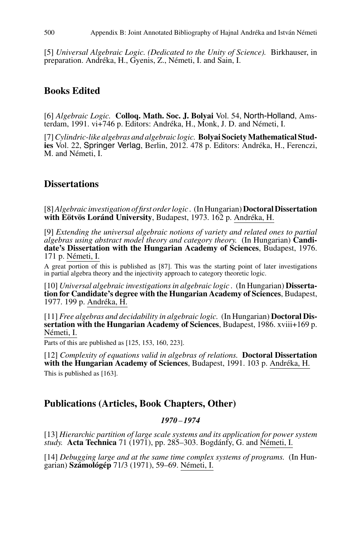[5] *Universal Algebraic Logic. (Dedicated to the Unity of Science).* Birkhauser, in preparation. Andréka, H., Gyenis, Z., Németi, I. and Sain, I.

# **Books Edited**

[6] *Algebraic Logic.* **Colloq. Math. Soc. J. Bolyai** Vol. 54, North-Holland, Amsterdam, 1991. vi+746 p. Editors: Andréka, H., Monk, J. D. and Németi, I.

[7] Cylindric-like algebras and algebraic logic. **Bolyai Society Mathematical Studies** Vol. 22, Springer Verlag, Berlin, 2012. 478 p. Editors: Andréka, H., Ferenczi, M. and Németi, I.

# **Dissertations**

[8]*Algebraic investigation of first order logic .* (In Hungarian)**Doctoral Dissertation with Eötvös Loránd University**, Budapest, 1973. 162 p. Andréka, H.

[9] *Extending the universal algebraic notions of variety and related ones to partial algebras using abstract model theory and category theory.* (In Hungarian) **Candidate's Dissertation with the Hungarian Academy of Sciences**, Budapest, 1976. 171 p. Németi, I.

A great portion of this is published as [87]. This was the starting point of later investigations in partial algebra theory and the injectivity approach to category theoretic logic.

[10] *Universal algebraic investigations in algebraic logic .* (In Hungarian) **Dissertation for Candidate's degree with the Hungarian Academy of Sciences**, Budapest, 1977. 199 p. Andréka, H.

[11] *Free algebras and decidability in algebraic logic.* (In Hungarian) **Doctoral Dissertation with the Hungarian Academy of Sciences, Budapest, 1986. xviii+169 p.** Németi, I.

Parts of this are published as [125, 153, 160, 223].

[12] *Complexity of equations valid in algebras of relations.* **Doctoral Dissertation with the Hungarian Academy of Sciences**, Budapest, 1991. 103 p. Andréka, H. This is published as [163].

## **Publications (Articles, Book Chapters, Other)**

## *1970* – *1974*

[13] *Hierarchic partition of large scale systems and its application for power system study.* **Acta Technica** 71 (1971), pp. 285–303. Bogdánfy, G. and Németi, I.

[14] *Debugging large and at the same time complex systems of programs.* (In Hungarian) **Számológép** 71/3 (1971), 59–69. Németi, I.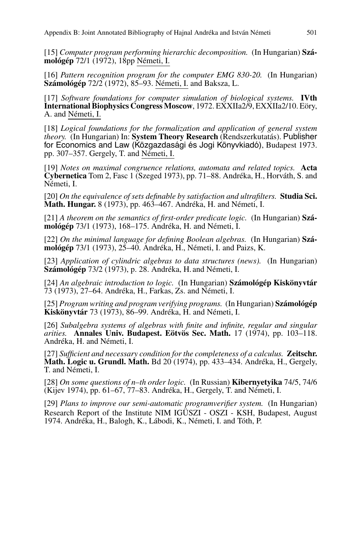[15] *Computer program performing hierarchic decomposition.* (In Hungarian) **Számológép** 72/1 (1972), 18pp Németi, I.

[16] *Pattern recognition program for the computer EMG 830-20.* (In Hungarian) **Számológép** 72/2 (1972), 85–93. Németi, I. and Baksza, L.

[17] *Software foundations for computer simulation of biological systems.* **IVth International Biophysics Congress Moscow**, 1972. EXXIIa2/9, EXXIIa2/10. Eöry, A. and Németi, I.

[18] *Logical foundations for the formalization and application of general system theory.* (In Hungarian) In: **System Theory Research** (Rendszerkutatás). Publisher for Economics and Law (Közgazdasági és Jogi Könyvkiadó), Budapest 1973. pp. 307–357. Gergely, T. and Németi, I.

[19] *Notes on maximal congruence relations, automata and related topics.* **Acta Cybernetica** Tom 2, Fasc 1 (Szeged 1973), pp. 71–88. Andréka, H., Horváth, S. and Németi, I.

[20] *On the equivalence of sets definable by satisfaction and ultrafilters.* **Studia Sci. Math. Hungar.** 8 (1973), pp. 463–467. Andréka, H. and Németi, I.

[21] *A theorem on the semantics of first-order predicate logic.* (In Hungarian) **Számológép** 73/1 (1973), 168–175. Andréka, H. and Németi, I.

[22] *On the minimal language for defining Boolean algebras.* (In Hungarian) **Számológép** 73/1 (1973), 25–40. Andréka, H., Németi, I. and Paizs, K.

[23] *Application of cylindric algebras to data structures (news).* (In Hungarian) **Számológép** 73/2 (1973), p. 28. Andréka, H. and Németi, I.

[24] *An algebraic introduction to logic.* (In Hungarian) **Számológép Kiskönyvtár** 73 (1973), 27–64. Andréka, H., Farkas, Zs. and Németi, I.

[25] *Program writing and program verifying programs.* (In Hungarian) **Számológép Kiskönyvtár** 73 (1973), 86–99. Andréka, H. and Németi, I.

[26] *Subalgebra systems of algebras with finite and infinite, regular and singular arities.* **Annales Univ. Budapest. Eötvös Sec. Math.** 17 (1974), pp. 103–118. Andréka, H. and Németi, I.

[27] *Sufficient and necessary condition for the completeness of a calculus.* **Zeitschr. Math. Logic u. Grundl. Math.** Bd 20 (1974), pp. 433–434. Andréka, H., Gergely, T. and Németi, I.

[28] *On some questions of n–th order logic.* (In Russian) **Kibernyetyika** 74/5, 74/6 (Kijev 1974), pp. 61–67, 77–83. Andréka, H., Gergely, T. and Németi, I.

[29] *Plans to improve our semi-automatic programverifier system.* (In Hungarian) Research Report of the Institute NIM IGÜSZI - OSZI - KSH, Budapest, August 1974. Andréka, H., Balogh, K., Lábodi, K., Németi, I. and Tóth, P.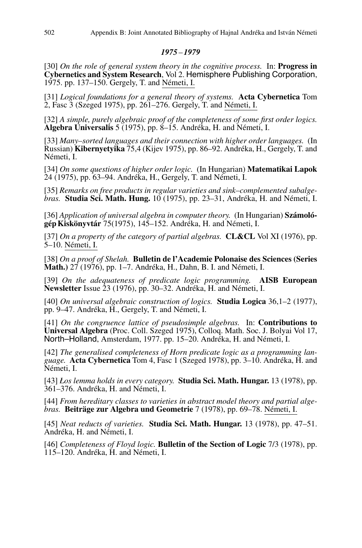## *1975* – *1979*

[30] *On the role of general system theory in the cognitive process.* In: **Progress in Cybernetics and System Research**, Vol 2. Hemisphere Publishing Corporation, 1975. pp. 137–150. Gergely, T. and Németi, I.

[31] *Logical foundations for a general theory of systems.* **Acta Cybernetica** Tom 2, Fasc 3 (Szeged 1975), pp. 261–276. Gergely, T. and Németi, I.

[32] *A simple, purely algebraic proof of the completeness of some first order logics.* **Algebra Universalis** 5 (1975), pp. 8–15. Andréka, H. and Németi, I.

[33] *Many–sorted languages and their connection with higher order languages.* (In Russian) **Kibernyetyika** 75,4 (Kijev 1975), pp. 86–92. Andréka, H., Gergely, T. and Németi, I.

[34] *On some questions of higher order logic.* (In Hungarian) **Matematikai Lapok** 24 (1975), pp. 63–94. Andréka, H., Gergely, T. and Németi, I.

[35] *Remarks on free products in regular varieties and sink–complemented subalgebras.* **Studia Sci. Math. Hung.** 10 (1975), pp. 23–31, Andréka, H. and Németi, I.

[36] *Application of universal algebra in computer theory.* (In Hungarian) **Számológép Kiskönyvtár** 75(1975), 145–152. Andréka, H. and Németi, I.

[37] *On a property of the category of partial algebras.* **CL&CL** Vol XI (1976), pp. 5–10. Németi, I.

[38] *On a proof of Shelah.* **Bulletin de l'Academie Polonaise des Sciences (Series Math.)** 27 (1976), pp. 1–7. Andréka, H., Dahn, B. I. and Németi, I.

[39] *On the adequateness of predicate logic programming.* **AISB European Newsletter** Issue 23 (1976), pp. 30–32. Andréka, H. and Németi, I.

[40] *On universal algebraic construction of logics.* **Studia Logica** 36,1–2 (1977), pp. 9–47. Andréka, H., Gergely, T. and Németi, I.

[41] *On the congruence lattice of pseudosimple algebras.* In: **Contributions to Universal Algebra** (Proc. Coll. Szeged 1975), Colloq. Math. Soc. J. Bolyai Vol 17, North–Holland, Amsterdam, 1977. pp. 15–20. Andréka, H. and Németi, I.

[42] *The generalised completeness of Horn predicate logic as a programming language.* **Acta Cybernetica** Tom 4, Fasc 1 (Szeged 1978), pp. 3–10. Andréka, H. and Németi, I.

[43] *Łos lemma holds in every category.* **Studia Sci. Math. Hungar.** 13 (1978), pp. 361–376. Andréka, H. and Németi, I.

[44] *From hereditary classes to varieties in abstract model theory and partial algebras.* **Beiträge zur Algebra und Geometrie** 7 (1978), pp. 69–78. Németi, I.

[45] *Neat reducts of varieties.* **Studia Sci. Math. Hungar.** 13 (1978), pp. 47–51. Andréka, H. and Németi, I.

[46] *Completeness of Floyd logic.* **Bulletin of the Section of Logic** 7/3 (1978), pp. 115–120. Andréka, H. and Németi, I.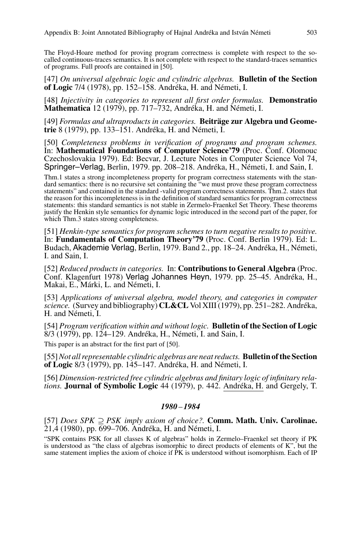The Floyd-Hoare method for proving program correctness is complete with respect to the socalled continuous-traces semantics. It is not complete with respect to the standard-traces semantics of programs. Full proofs are contained in [50].

[47] *On universal algebraic logic and cylindric algebras.* **Bulletin of the Section of Logic** 7/4 (1978), pp. 152–158. Andréka, H. and Németi, I.

[48] *Injectivity in categories to represent all first order formulas.* **Demonstratio Mathematica** 12 (1979), pp. 717–732, Andréka, H. and Németi, I.

[49] *Formulas and ultraproducts in categories.* **Beiträge zur Algebra und Geometrie** 8 (1979), pp. 133–151. Andréka, H. and Németi, I.

[50] *Completeness problems in verification of programs and program schemes.* In: **Mathematical Foundations of Computer Science'79** (Proc. Conf. Olomouc Czechoslovakia 1979). Ed: Becvar, J. Lecture Notes in Computer Science Vol 74, Springer–Verlag, Berlin, 1979. pp. 208–218. Andréka, H., Németi, I. and Sain, I.

Thm.1 states a strong incompleteness property for program correctness statements with the standard semantics: there is no recursive set containing the "we must prove these program correctness statements" and contained in the standard -valid program correctness statements. Thm.2. states that the reason for this incompleteness is in the definition of standard semantics for program correctness statements: this standard semantics is not stable in Zermelo-Fraenkel Set Theory. These theorems justify the Henkin style semantics for dynamic logic introduced in the second part of the paper, for which Thm.3 states strong completeness.

[51] *Henkin-type semantics for program schemes to turn negative results to positive.* In: **Fundamentals of Computation Theory'79** (Proc. Conf. Berlin 1979). Ed: L. Budach, Akademie Verlag, Berlin, 1979. Band 2., pp. 18–24. Andréka, H., Németi, I. and Sain, I.

[52] *Reduced products in categories.* In: **Contributions to General Algebra** (Proc. Conf. Klagenfurt 1978) Verlag Johannes Heyn, 1979. pp. 25–45. Andréka, H., Makai, E., Márki, L. and Németi, I.

[53] *Applications of universal algebra, model theory, and categories in computer science.* (Survey and bibliography) **CL&CL** Vol XIII (1979), pp. 251–282. Andréka, H. and Németi, I.

[54] *Program verification within and without logic.* **Bulletin of the Section of Logic** 8/3 (1979), pp. 124–129. Andréka, H., Németi, I. and Sain, I.

This paper is an abstract for the first part of [50].

[55]*Not all representable cylindric algebras are neat reducts.* **Bulletin of the Section of Logic** 8/3 (1979), pp. 145–147. Andréka, H. and Németi, I.

[56] *Dimension-restricted free cylindric algebras and finitary logic of infinitary relations.* **Journal of Symbolic Logic** 44 (1979), p. 442. Andréka, H. and Gergely, T.

#### *1980* – *1984*

[57] *Does SPK* ⊇ *PSK imply axiom of choice?.* **Comm. Math. Univ. Carolinae.** 21,4 (1980), pp. 699–706. Andréka, H. and Németi, I.

"SPK contains PSK for all classes K of algebras" holds in Zermelo–Fraenkel set theory if PK is understood as "the class of algebras isomorphic to direct products of elements of K", but the same statement implies the axiom of choice if PK is understood without isomorphism. Each of IP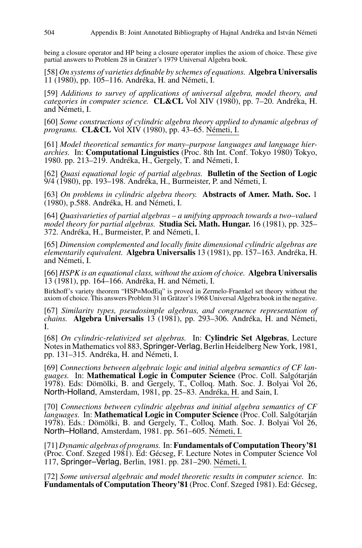being a closure operator and HP being a closure operator implies the axiom of choice. These give partial answers to Problem 28 in Gratzer's 1979 Universal Algebra book.

[58] *On systems of varieties definable by schemes of equations.* **Algebra Universalis** 11 (1980), pp. 105–116. Andréka, H. and Németi, I.

[59] *Additions to survey of applications of universal algebra, model theory, and categories in computer science.* **CL&CL** Vol XIV (1980), pp. 7–20. Andréka, H. and Németi, I.

[60] *Some constructions of cylindric algebra theory applied to dynamic algebras of programs.* **CL&CL** Vol XIV (1980), pp. 43–65. Németi, I.

[61] *Model theoretical semantics for many–purpose languages and language hierarchies.* In: **Computational Linguistics** (Proc. 8th Int. Conf. Tokyo 1980) Tokyo, 1980. pp. 213–219. Andréka, H., Gergely, T. and Németi, I.

[62] *Quasi equational logic of partial algebras.* **Bulletin of the Section of Logic** 9/4 (1980), pp. 193–198. Andréka, H., Burmeister, P. and Németi, I.

[63] *On problems in cylindric algebra theory.* **Abstracts of Amer. Math. Soc.** 1 (1980), p.588. Andréka, H. and Németi, I.

[64] *Quasivarieties of partial algebras – a unifying approach towards a two–valued model theory for partial algebras.* **Studia Sci. Math. Hungar.** 16 (1981), pp. 325– 372. Andréka, H., Burmeister, P. and Németi, I.

[65] *Dimension complemented and locally finite dimensional cylindric algebras are elementarily equivalent.* **Algebra Universalis** 13 (1981), pp. 157–163. Andréka, H. and Németi, I.

[66] *HSPK is an equational class, without the axiom of choice.* **Algebra Universalis** 13 (1981), pp. 164–166. Andréka, H. and Németi, I.

Birkhoff's variety theorem "HSP=ModEq" is proved in Zermelo-Fraenkel set theory without the axiom of choice. This answers Problem 31 in Grätzer's 1968 Universal Algebra book in the negative.

[67] *Similarity types, pseudosimple algebras, and congruence representation of chains.* **Algebra Universalis** 13 (1981), pp. 293–306. Andréka, H. and Németi, I.

[68] *On cylindric-relativized set algebras.* In: **Cylindric Set Algebras**, Lecture Notes in Mathematics vol 883,Springer-Verlag, Berlin Heidelberg New York, 1981, pp. 131–315. Andréka, H. and Németi, I.

[69] *Connections between algebraic logic and initial algebra semantics of CF languages.* In: **Mathematical Logic in Computer Science** (Proc. Coll. Salgótarján 1978). Eds: Dömölki, B. and Gergely, T., Colloq. Math. Soc. J. Bolyai Vol 26, North-Holland, Amsterdam, 1981, pp. 25–83. Andréka, H. and Sain, I.

[70] *Connections between cylindric algebras and initial algebra semantics of CF languages.* In: **Mathematical Logic in Computer Science** (Proc. Coll. Salgótarján 1978). Eds.: Dömölki, B. and Gergely, T., Colloq. Math. Soc. J. Bolyai Vol 26, North–Holland, Amsterdam, 1981. pp. 561–605. Németi, I.

[71] *Dynamic algebras of programs.* In: **Fundamentals of Computation Theory'81** (Proc. Conf. Szeged 1981). Ed: Gécseg, F. Lecture Notes in Computer Science Vol 117, Springer–Verlag, Berlin, 1981. pp. 281–290. Németi, I.

[72] *Some universal algebraic and model theoretic results in computer science.* In: **Fundamentals of Computation Theory'81** (Proc. Conf. Szeged 1981). Ed: Gécseg,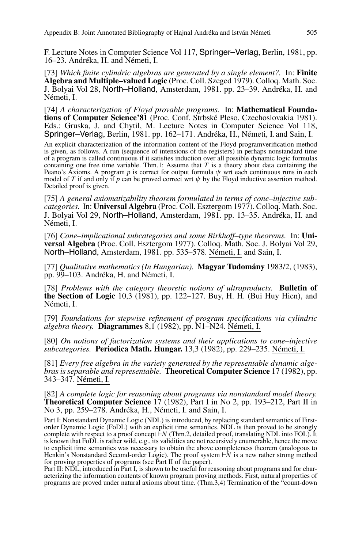F. Lecture Notes in Computer Science Vol 117, Springer–Verlag, Berlin, 1981, pp. 16–23. Andréka, H. and Németi, I.

[73] *Which finite cylindric algebras are generated by a single element?.* In: **Finite Algebra and Multiple–valued Logic** (Proc. Coll. Szeged 1979). Colloq. Math. Soc. J. Bolyai Vol 28, North–Holland, Amsterdam, 1981. pp. 23–39. Andréka, H. and Németi, I.

[74] *A characterization of Floyd provable programs.* In: **Mathematical Foundations of Computer Science'81** (Proc. Conf. Strbské Pleso, Czechoslovakia 1981). Eds.: Gruska, J. and Chytil, M. Lecture Notes in Computer Science Vol 118, Springer–Verlag, Berlin, 1981. pp. 162–171. Andréka, H., Németi, I. and Sain, I.

An explicit characterization of the information content of the Floyd programverification method is given, as follows. A run (sequence of intensions of the registers) in perhaps nonstandard time of a program is called continuous if it satisfies induction over all possible dynamic logic formulas containing one free time variable. Thm.1: Assume that  $T$  is a theory about data containing the Peano's Axioms. A program  $p$  is correct for output formula  $\psi$  wrt each continuous runs in each model of *T* if and only if *p* can be proved correct wrt  $\psi$  by the Floyd inductive assertion method. Detailed proof is given.

[75] *A general axiomatizability theorem formulated in terms of cone–injective subcategories.* In: **Universal Algebra** (Proc. Coll. Esztergom 1977). Colloq. Math. Soc. J. Bolyai Vol 29, North–Holland, Amsterdam, 1981. pp. 13–35. Andréka, H. and Németi, I.

[76] *Cone–implicational subcategories and some Birkhoff–type theorems.* In: **Universal Algebra** (Proc. Coll. Esztergom 1977). Colloq. Math. Soc. J. Bolyai Vol 29, North–Holland, Amsterdam, 1981. pp. 535–578. Németi, I. and Sain, I.

[77] *Qualitative mathematics (In Hungarian).* **Magyar Tudomány** 1983/2, (1983), pp. 99–103. Andréka, H. and Németi, I.

[78] *Problems with the category theoretic notions of ultraproducts.* **Bulletin of the Section of Logic** 10,3 (1981), pp. 122–127. Buy, H. H. (Bui Huy Hien), and Németi, I.

[79] *Foundations for stepwise refinement of program specifications via cylindric algebra theory.* **Diagrammes** 8,1 (1982), pp. N1–N24. Németi, I.

[80] *On notions of factorization systems and their applications to cone–injective subcategories.* **Periodica Math. Hungar.** 13,3 (1982), pp. 229–235. Németi, I.

[81] *Every free algebra in the variety generated by the representable dynamic algebras is separable and representable.* **Theoretical Computer Science** 17 (1982), pp. 343–347. Németi, I.

[82] *A complete logic for reasoning about programs via nonstandard model theory.* **Theoretical Computer Science** 17 (1982), Part I in No 2, pp. 193–212, Part II in No 3, pp. 259–278. Andréka, H., Németi, I. and Sain, I.

Part I: Nonstandard Dynamic Logic (NDL) is introduced, by replacing standard semantics of Firstorder Dynamic Logic (FoDL) with an explicit time semantics. NDL is then proved to be strongly complete with respect to a proof concept *N* (Thm.2, detailed proof, translating NDL into FOL). It is known that FoDL is rather wild, e.g., its validities are not recursively enumerable, hence the move to explicit time semantics was necessary to obtain the above completeness theorem (analogous to Henkin's Nonstandard Second-order Logic). The proof system  $\overrightarrow{N}$  is a new rather strong method for proving properties of programs (see Part II of the paper).

Part II: NDL, introduced in Part I, is shown to be useful for reasoning about programs and for characterizing the information contents of known program proving methods. First, natural properties of programs are proved under natural axioms about time. (Thm.3,4) Termination of the "count-down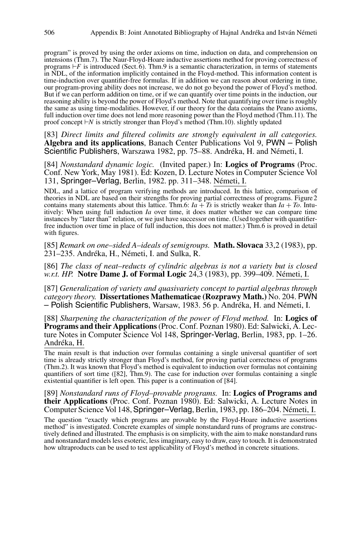program" is proved by using the order axioms on time, induction on data, and comprehension on intensions (Thm.7). The Naur-Floyd-Hoare inductive assertions method for proving correctness of programs  $\overline{F}$  is introduced (Sect. 6). Thm.9 is a semantic characterization, in terms of statements in NDL, of the information implicitly contained in the Floyd-method. This information content is time-induction over quantifier-free formulas. If in addition we can reason about ordering in time, our program-proving ability does not increase, we do not go beyond the power of Floyd's method. But if we can perform addition on time, or if we can quantify over time points in the induction, our reasoning ability is beyond the power of Floyd's method. Note that quantifying over time is roughly the same as using time-modalities. However, if our theory for the data contains the Peano axioms, full induction over time does not lend more reasoning power than the Floyd method (Thm.11). The proof concept *N* is strictly stronger than Floyd's method (Thm.10). slightly updated

[83] *Direct limits and filtered colimits are strongly equivalent in all categories.* **Algebra and its applications**, Banach Center Publications Vol 9, PWN – Polish Scientific Publishers, Warszawa 1982, pp. 75–88. Andréka, H. and Németi, I.

[84] *Nonstandard dynamic logic.* (Invited paper.) In: **Logics of Programs** (Proc. Conf. New York, May 1981). Ed: Kozen, D. Lecture Notes in Computer Science Vol 131, Springer–Verlag, Berlin, 1982. pp. 311–348. Németi, I.

NDL, and a lattice of program verifying methods are introduced. In this lattice, comparison of theories in NDL are based on their strengths for proving partial correctness of programs. Figure 2 contains many statements about this lattice. Thm.6:  $Ia + Ts$  is strictly weaker than  $Ia + To$ . Intuitively: When using full induction *Ia* over time, it does matter whether we can compare time instances by "later than" relation, or we just have successor on time. (Used together with quantifierfree induction over time in place of full induction, this does not matter.) Thm.6 is proved in detail with figures.

[85] *Remark on one–sided A–ideals of semigroups.* **Math. Slovaca** 33,2 (1983), pp. 231–235. Andréka, H., Németi, I. and Sulka, R.

[86] *The class of neat–reducts of cylindric algebras is not a variety but is closed w.r.t. HP.* **Notre Dame J. of Formal Logic** 24,3 (1983), pp. 399–409. Németi, I.

[87] *Generalization of variety and quasivariety concept to partial algebras through category theory.* **Dissertationes Mathematicae (Rozprawy Math.)** No. 204. PWN – Polish Scientific Publishers, Warsaw, 1983. 56 p. Andréka, H. and Németi, I.

[88] *Sharpening the characterization of the power of Floyd method.* In: **Logics of Programs and their Applications**(Proc. Conf. Poznan 1980). Ed: Salwicki, A. Lecture Notes in Computer Science Vol 148, Springer-Verlag, Berlin, 1983, pp. 1–26. Andréka, H.

The main result is that induction over formulas containing a single universal quantifier of sort time is already strictly stronger than Floyd's method, for proving partial correctness of programs (Thm.2). It was known that Floyd's method is equivalent to induction over formulas not containing quantifiers of sort time ([82], Thm.9). The case for induction over formulas containing a single existential quantifier is left open. This paper is a continuation of [84].

[89] *Nonstandard runs of Floyd–provable programs.* In: **Logics of Programs and their Applications** (Proc. Conf. Poznan 1980). Ed: Salwicki, A. Lecture Notes in Computer Science Vol 148,Springer–Verlag, Berlin, 1983, pp. 186–204. Németi, I.

The question "exactly which programs are provable by the Floyd-Hoare inductive assertions method" is investigated. Concrete examples of simple nonstandard runs of programs are constructively defined and illustrated. The emphasis is on simplicity, with the aim to make nonstandard runs and nonstandard models less esoteric, less imaginary, easy to draw, easy to touch. It is demonstrated how ultraproducts can be used to test applicability of Floyd's method in concrete situations.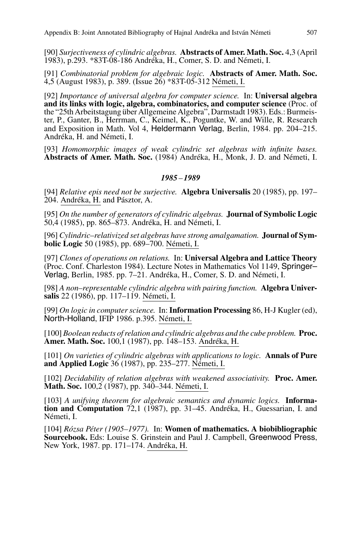[90] *Surjectiveness of cylindric algebras.* **Abstracts of Amer. Math. Soc.** 4,3 (April 1983), p.293. \*83T-08-186 Andréka, H., Comer, S. D. and Németi, I.

[91] *Combinatorial problem for algebraic logic.* **Abstracts of Amer. Math. Soc.** 4,5 (August 1983), p. 389. (Issue 26) \*83T-05-312 Németi, I.

[92] *Importance of universal algebra for computer science.* In: **Universal algebra and its links with logic, algebra, combinatorics, and computer science** (Proc. of the "25th Arbeitstagung über Allgemeine Algebra", Darmstadt 1983). Eds.: Burmeister, P., Ganter, B., Herrman, C., Keimel, K., Poguntke, W. and Wille, R. Research and Exposition in Math. Vol 4, Heldermann Verlag, Berlin, 1984. pp. 204–215. Andréka, H. and Németi, I.

[93] *Homomorphic images of weak cylindric set algebras with infinite bases.* **Abstracts of Amer. Math. Soc.** (1984) Andréka, H., Monk, J. D. and Németi, I.

## *1985* – *1989*

[94] *Relative epis need not be surjective.* **Algebra Universalis** 20 (1985), pp. 197– 204. Andréka, H. and Pásztor, A.

[95] *On the number of generators of cylindric algebras.* **Journal of Symbolic Logic** 50,4 (1985), pp. 865–873. Andréka, H. and Németi, I.

[96] *Cylindric–relativized set algebras have strong amalgamation.* **Journal of Symbolic Logic** 50 (1985), pp. 689–700. Németi, I.

[97] *Clones of operations on relations.* In: **Universal Algebra and Lattice Theory** (Proc. Conf. Charleston 1984). Lecture Notes in Mathematics Vol 1149, Springer– Verlag, Berlin, 1985. pp. 7–21. Andréka, H., Comer, S. D. and Németi, I.

[98] *A non–representable cylindric algebra with pairing function.* **Algebra Universalis** 22 (1986), pp. 117–119. Németi, I.

[99] *On logic in computer science.* In: **Information Processing** 86, H-J Kugler (ed), North-Holland, IFIP 1986. p.395. Németi, I.

[100] *Boolean reducts of relation and cylindric algebras and the cube problem.* **Proc. Amer. Math. Soc.** 100,1 (1987), pp. 148–153. Andréka, H.

[101] *On varieties of cylindric algebras with applications to logic.* **Annals of Pure and Applied Logic** 36 (1987), pp. 235–277. Németi, I.

[102] *Decidability of relation algebras with weakened associativity.* **Proc. Amer. Math. Soc.** 100,2 (1987), pp. 340–344. Németi, I.

[103] *A unifying theorem for algebraic semantics and dynamic logics.* **Information and Computation** 72,1 (1987), pp. 31–45. Andréka, H., Guessarian, I. and Németi, I.

[104] *Rózsa Péter (1905–1977).* In: **Women of mathematics. A biobibliographic Sourcebook.** Eds: Louise S. Grinstein and Paul J. Campbell, Greenwood Press, New York, 1987. pp. 171–174. Andréka, H.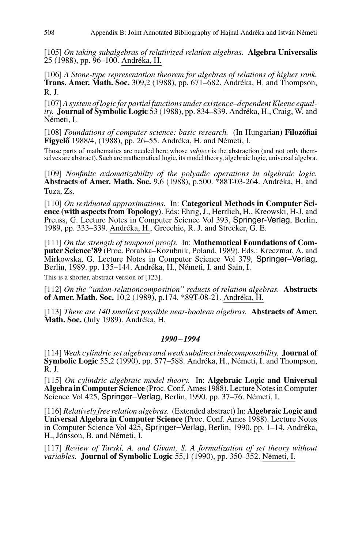[105] *On taking subalgebras of relativized relation algebras.* **Algebra Universalis** 25 (1988), pp. 96–100. Andréka, H.

[106] *A Stone-type representation theorem for algebras of relations of higher rank.* **Trans. Amer. Math. Soc.** 309,2 (1988), pp. 671–682. Andréka, H. and Thompson, R. J.

[107]*A system of logic for partial functions under existence–dependent Kleene equality.* **Journal of Symbolic Logic** 53 (1988), pp. 834–839. Andréka, H., Craig, W. and Németi, I.

[108] *Foundations of computer science: basic research.* (In Hungarian) **Filozófiai Figyelő** 1988/4, (1988), pp. 26–55. Andréka, H. and Németi, I.

Those parts of mathematics are needed here whose *subject* is the abstraction (and not only themselves are abstract). Such are mathematical logic, its model theory, algebraic logic, universal algebra.

[109] *Nonfinite axiomatizability of the polyadic operations in algebraic logic.* **Abstracts of Amer. Math. Soc.** 9,6 (1988), p.500. \*88T-03-264. Andréka, H. and Tuza, Zs.

[110] *On residuated approximations.* In: **Categorical Methods in Computer Science (with aspects from Topology)**. Eds: Ehrig, J., Herrlich, H., Kreowski, H-J. and Preuss, G. Lecture Notes in Computer Science Vol 393, Springer-Verlag, Berlin, 1989, pp. 333–339. Andréka, H., Greechie, R. J. and Strecker, G. E.

[111] *On the strength of temporal proofs.* In: **Mathematical Foundations of Computer Science'89** (Proc. Porabka–Kozubnik, Poland, 1989). Eds.: Kreczmar, A. and Mirkowska, G. Lecture Notes in Computer Science Vol 379, Springer–Verlag, Berlin, 1989. pp. 135–144. Andréka, H., Németi, I. and Sain, I.

This is a shorter, abstract version of [123].

[112] *On the "union-relationcomposition" reducts of relation algebras.* **Abstracts of Amer. Math. Soc.** 10,2 (1989), p.174. \*89T-08-21. Andréka, H.

[113] *There are 140 smallest possible near-boolean algebras.* **Abstracts of Amer. Math. Soc.** (July 1989). Andréka, H.

## *1990* – *1994*

[114] *Weak cylindric set algebras and weak subdirect indecomposability.* **Journal of Symbolic Logic** 55,2 (1990), pp. 577–588. Andréka, H., Németi, I. and Thompson, R. J.

[115] *On cylindric algebraic model theory.* In: **Algebraic Logic and Universal Algebra in Computer Science** (Proc. Conf. Ames 1988). Lecture Notes in Computer Science Vol 425, Springer–Verlag, Berlin, 1990. pp. 37–76. Németi, I.

[116] *Relatively free relation algebras.* (Extended abstract) In: **Algebraic Logic and Universal Algebra in Computer Science** (Proc. Conf. Ames 1988). Lecture Notes in Computer Science Vol 425, Springer–Verlag, Berlin, 1990. pp. 1–14. Andréka, H., Jónsson, B. and Németi, I.

[117] *Review of Tarski, A. and Givant, S. A formalization of set theory without variables.* **Journal of Symbolic Logic** 55,1 (1990), pp. 350–352. Németi, I.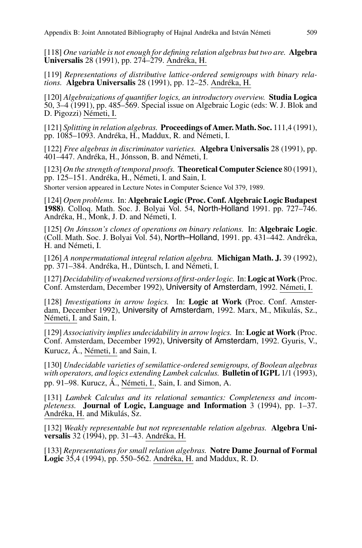[118] *One variable is not enough for defining relation algebras but two are.* **Algebra Universalis** 28 (1991), pp. 274–279. Andréka, H.

[119] *Representations of distributive lattice-ordered semigroups with binary relations.* **Algebra Universalis** 28 (1991), pp. 12–25. Andréka, H.

[120] *Algebraizations of quantifier logics, an introductory overview.* **Studia Logica** 50, 3–4 (1991), pp. 485–569. Special issue on Algebraic Logic (eds: W. J. Blok and D. Pigozzi) Németi, I.

[121] *Splitting in relation algebras.* **Proceedings of Amer. Math. Soc.** 111,4 (1991), pp. 1085–1093. Andréka, H., Maddux, R. and Németi, I.

[122] *Free algebras in discriminator varieties.* **Algebra Universalis** 28 (1991), pp. 401–447. Andréka, H., Jónsson, B. and Németi, I.

[123] *On the strength of temporal proofs.* **Theoretical Computer Science** 80 (1991), pp. 125–151. Andréka, H., Németi, I. and Sain, I.

Shorter version appeared in Lecture Notes in Computer Science Vol 379, 1989.

[124] *Open problems.* In: **Algebraic Logic (Proc. Conf. Algebraic Logic Budapest 1988)**. Colloq. Math. Soc. J. Bolyai Vol. 54, North-Holland 1991. pp. 727–746. Andréka, H., Monk, J. D. and Németi, I.

[125] *On Jónsson's clones of operations on binary relations.* In: **Algebraic Logic**. (Coll. Math. Soc. J. Bolyai Vol. 54), North–Holland, 1991. pp. 431–442. Andréka, H. and Németi, I.

[126] *A nonpermutational integral relation algebra.* **Michigan Math. J.** 39 (1992), pp. 371–384. Andréka, H., Düntsch, I. and Németi, I.

[127] *Decidability of weakened versions of first-order logic.* In:**Logic atWork** (Proc. Conf. Amsterdam, December 1992), University of Amsterdam, 1992. Németi, I.

[128] *Investigations in arrow logics.* In: **Logic at Work** (Proc. Conf. Amsterdam, December 1992), University of Amsterdam, 1992. Marx, M., Mikulás, Sz., Németi, I. and Sain, I.

[129] *Associativity implies undecidability in arrow logics.* In: **Logic at Work** (Proc. Conf. Amsterdam, December 1992), University of Amsterdam, 1992. Gyuris, V., Kurucz, Á., Németi, I. and Sain, I.

[130] *Undecidable varieties of semilattice-ordered semigroups, of Boolean algebras with operators, and logics extending Lambek calculus.* **Bulletin of IGPL** 1/1 (1993), pp. 91–98. Kurucz, Á., Németi, I., Sain, I. and Simon, A.

[131] *Lambek Calculus and its relational semantics: Completeness and incompleteness.* **Journal of Logic, Language and Information** 3 (1994), pp. 1–37. Andréka, H. and Mikulás, Sz.

[132] *Weakly representable but not representable relation algebras.* **Algebra Universalis** 32 (1994), pp. 31–43. Andréka, H.

[133] *Representations for small relation algebras.* **Notre Dame Journal of Formal Logic** 35,4 (1994), pp. 550–562. Andréka, H. and Maddux, R. D.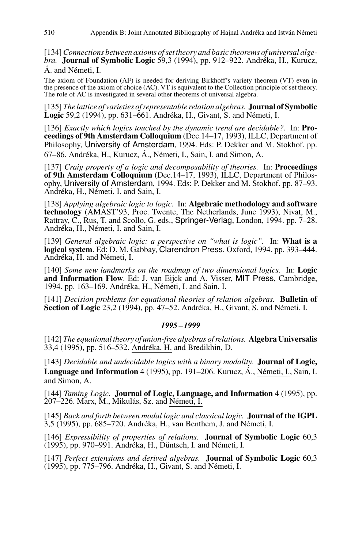[134]*Connections between axioms of set theory and basic theorems of universal algebra.* **Journal of Symbolic Logic** 59,3 (1994), pp. 912–922. Andréka, H., Kurucz, Á. and Németi, I.

The axiom of Foundation (AF) is needed for deriving Birkhoff's variety theorem (VT) even in the presence of the axiom of choice (AC). VT is equivalent to the Collection principle of set theory. The role of AC is investigated in several other theorems of universal algebra.

[135] *The lattice of varieties of representable relation algebras.* **Journal of Symbolic Logic** 59,2 (1994), pp. 631–661. Andréka, H., Givant, S. and Németi, I.

[136] *Exactly which logics touched by the dynamic trend are decidable?.* In: **Proceedings of 9th Amsterdam Colloquium** (Dec.14–17, 1993), ILLC, Department of Philosophy, University of Amsterdam, 1994. Eds: P. Dekker and M. Stokhof. pp. 67–86. Andréka, H., Kurucz, Á., Németi, I., Sain, I. and Simon, A.

[137] *Craig property of a logic and decomposability of theories.* In: **Proceedings of 9th Amsterdam Colloquium** (Dec.14–17, 1993), ILLC, Department of Philosophy, University of Amsterdam, 1994. Eds: P. Dekker and M. Stokhof. pp. 87–93. Andréka, H., Németi, I. and Sain, I.

[138] *Applying algebraic logic to logic.* In: **Algebraic methodology and software technology** (AMAST'93, Proc. Twente, The Netherlands, June 1993), Nivat, M., Rattray, C., Rus, T. and Scollo, G. eds., Springer-Verlag, London, 1994. pp. 7–28. Andréka, H., Németi, I. and Sain, I.

[139] *General algebraic logic: a perspective on "what is logic".* In: **What is a logical system**. Ed: D. M. Gabbay, Clarendron Press, Oxford, 1994. pp. 393–444. Andréka, H. and Németi, I.

[140] *Some new landmarks on the roadmap of two dimensional logics.* In: **Logic and Information Flow**. Ed: J. van Eijck and A. Visser, MIT Press, Cambridge, 1994. pp. 163–169. Andréka, H., Németi, I. and Sain, I.

[141] *Decision problems for equational theories of relation algebras.* **Bulletin of Section of Logic** 23,2 (1994), pp. 47–52. Andréka, H., Givant, S. and Németi, I.

### *1995* – *1999*

[142] *The equational theory of union-free algebras of relations.* **Algebra Universalis** 33,4 (1995), pp. 516–532. Andréka, H. and Bredikhin, D.

[143] *Decidable and undecidable logics with a binary modality.* **Journal of Logic, Language and Information** 4 (1995), pp. 191–206. Kurucz, Á., Németi, I., Sain, I. and Simon, A.

[144] *Taming Logic.* **Journal of Logic, Language, and Information** 4 (1995), pp. 207–226. Marx, M., Mikulás, Sz. and Németi, I.

[145] *Back and forth between modal logic and classical logic.* **Journal of the IGPL** 3,5 (1995), pp. 685–720. Andréka, H., van Benthem, J. and Németi, I.

[146] *Expressibility of properties of relations.* **Journal of Symbolic Logic** 60,3 (1995), pp. 970–991. Andréka, H., Düntsch, I. and Németi, I.

[147] *Perfect extensions and derived algebras.* **Journal of Symbolic Logic** 60,3 (1995), pp. 775–796. Andréka, H., Givant, S. and Németi, I.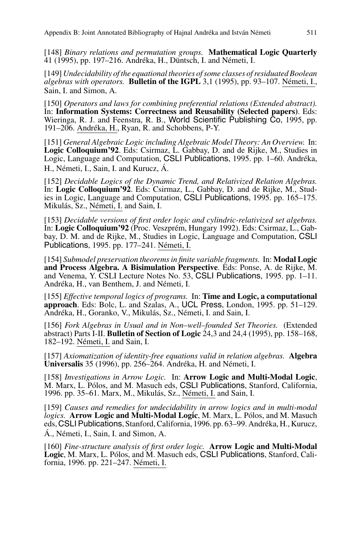[148] *Binary relations and permutation groups.* **Mathematical Logic Quarterly** 41 (1995), pp. 197–216. Andréka, H., Düntsch, I. and Németi, I.

[149] *Undecidability of the equational theories of some classes of residuated Boolean algebras with operators.* **Bulletin of the IGPL** 3,1 (1995), pp. 93–107. Németi, I., Sain, I. and Simon, A.

[150] *Operators and laws for combining preferential relations (Extended abstract).* In: **Information Systems: Correctness and Reusability (Selected papers)**. Eds: Wieringa, R. J. and Feenstra, R. B., World Scientific Publishing Co, 1995, pp. 191–206. Andréka, H., Ryan, R. and Schobbens, P-Y.

[151] *General Algebraic Logic including Algebraic Model Theory: An Overview.* In: **Logic Colloquium'92**. Eds: Csirmaz, L. Gabbay, D. and de Rijke, M., Studies in Logic, Language and Computation, CSLI Publications, 1995. pp. 1–60. Andréka, H., Németi, I., Sain, I. and Kurucz, Á.

[152] *Decidable Logics of the Dynamic Trend, and Relativized Relation Algebras.* In: **Logic Colloquium'92**. Eds: Csirmaz, L., Gabbay, D. and de Rijke, M., Studies in Logic, Language and Computation, CSLI Publications, 1995. pp. 165–175. Mikulás, Sz., Németi, I. and Sain, I.

[153] *Decidable versions of first order logic and cylindric-relativized set algebras.* In: **Logic Colloquium'92** (Proc. Veszprém, Hungary 1992). Eds: Csirmaz, L., Gabbay, D. M. and de Rijke, M., Studies in Logic, Language and Computation, CSLI Publications, 1995. pp. 177–241. Németi, I.

[154] *Submodel preservation theorems in finite variable fragments.* In: **Modal Logic and Process Algebra. A Bisimulation Perspective**. Eds: Ponse, A. de Rijke, M. and Venema, Y. CSLI Lecture Notes No. 53, CSLI Publications, 1995. pp. 1–11. Andréka, H., van Benthem, J. and Németi, I.

[155] *Effective temporal logics of programs.* In: **Time and Logic, a computational approach**. Eds: Bolc, L. and Szalas, A., UCL Press, London, 1995. pp. 51–129. Andréka, H., Goranko, V., Mikulás, Sz., Németi, I. and Sain, I.

[156] *Fork Algebras in Usual and in Non–well–founded Set Theories.* (Extended abstract) Parts I-II. **Bulletin of Section of Logic** 24,3 and 24,4 (1995), pp. 158–168, 182–192. Németi, I. and Sain, I.

[157] *Axiomatization of identity-free equations valid in relation algebras.* **Algebra Universalis** 35 (1996), pp. 256–264. Andréka, H. and Németi, I.

[158] *Investigations in Arrow Logic.* In: **Arrow Logic and Multi-Modal Logic**, M. Marx, L. Pólos, and M. Masuch eds, CSLI Publications, Stanford, California, 1996. pp. 35–61. Marx, M., Mikulás, Sz., Németi, I. and Sain, I.

[159] *Causes and remedies for undecidability in arrow logics and in multi-modal logics.* **Arrow Logic and Multi-Modal Logic**, M. Marx, L. Pólos, and M. Masuch eds, CSLI Publications, Stanford, California, 1996. pp. 63–99. Andréka, H., Kurucz, Á., Németi, I., Sain, I. and Simon, A.

[160] *Fine-structure analysis of first order logic.* **Arrow Logic and Multi-Modal Logic**, M. Marx, L. Pólos, and M. Masuch eds, CSLI Publications, Stanford, California, 1996. pp. 221–247. Németi, I.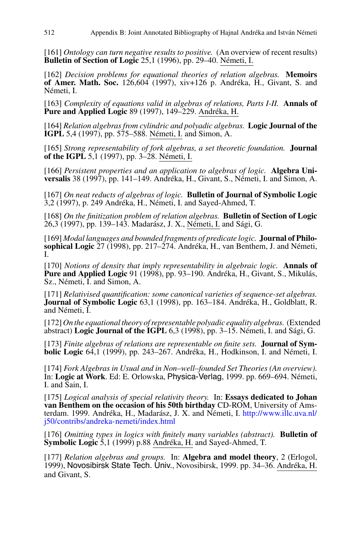[161] *Ontology can turn negative results to positive.* (An overview of recent results) **Bulletin of Section of Logic** 25,1 (1996), pp. 29–40. Németi, I.

[162] *Decision problems for equational theories of relation algebras.* **Memoirs of Amer. Math. Soc.** 126,604 (1997), xiv+126 p. Andréka, H., Givant, S. and Németi, I.

[163] *Complexity of equations valid in algebras of relations, Parts I-II.* **Annals of Pure and Applied Logic** 89 (1997), 149–229. Andréka, H.

[164] *Relation algebras from cylindric and polyadic algebras.* **Logic Journal of the IGPL** 5,4 (1997), pp. 575–588. Németi, I. and Simon, A.

[165] *Strong representability of fork algebras, a set theoretic foundation.* **Journal of the IGPL** 5,1 (1997), pp. 3–28. Németi, I.

[166] *Persistent properties and an application to algebras of logic.* **Algebra Universalis** 38 (1997), pp. 141–149. Andréka, H., Givant, S., Németi, I. and Simon, A.

[167] *On neat reducts of algebras of logic.* **Bulletin of Journal of Symbolic Logic** 3,2 (1997), p. 249 Andréka, H., Németi, I. and Sayed-Ahmed, T.

[168] *On the finitization problem of relation algebras.* **Bulletin of Section of Logic** 26,3 (1997), pp. 139–143. Madarász, J. X., Németi, I. and Sági, G.

[169] *Modal languages and bounded fragments of predicate logic.* **Journal of Philosophical Logic** 27 (1998), pp. 217–274. Andréka, H., van Benthem, J. and Németi, I.

[170] *Notions of density that imply representability in algebraic logic.* **Annals of Pure and Applied Logic** 91 (1998), pp. 93–190. Andréka, H., Givant, S., Mikulás, Sz., Németi, I. and Simon, A.

[171] *Relativised quantification: some canonical varieties of sequence-set algebras.* **Journal of Symbolic Logic** 63,1 (1998), pp. 163–184. Andréka, H., Goldblatt, R. and Németi, I.

[172]*On the equational theory of representable polyadic equality algebras.* (Extended abstract) **Logic Journal of the IGPL** 6,3 (1998), pp. 3–15. Németi, I. and Sági, G.

[173] *Finite algebras of relations are representable on finite sets.* **Journal of Symbolic Logic** 64,1 (1999), pp. 243–267. Andréka, H., Hodkinson, I. and Németi, I.

[174] *Fork Algebras in Usual and in Non–well–founded Set Theories (An overview).* In: **Logic at Work**. Ed: E. Orlowska, Physica-Verlag, 1999. pp. 669–694. Németi, I. and Sain, I.

[175] *Logical analysis of special relativity theory.* In: **Essays dedicated to Johan van Benthem on the occasion of his 50th birthday** CD-ROM, University of Amsterdam. 1999. Andréka, H., Madarász, J. X. and Németi, I. [http://www.illc.uva.nl/](http://www.illc.uva.nl/j50/contribs/andreka-nemeti/index.html) [j50/contribs/andreka-nemeti/index.html](http://www.illc.uva.nl/j50/contribs/andreka-nemeti/index.html)

[176] *Omitting types in logics with finitely many variables (abstract).* **Bulletin of Symbolic Logic** 5,1 (1999) p.88 Andréka, H. and Sayed-Ahmed, T.

[177] *Relation algebras and groups.* In: **Algebra and model theory**, 2 (Erlogol, 1999), Novosibirsk State Tech. Univ., Novosibirsk, 1999. pp. 34–36. Andréka, H. and Givant, S.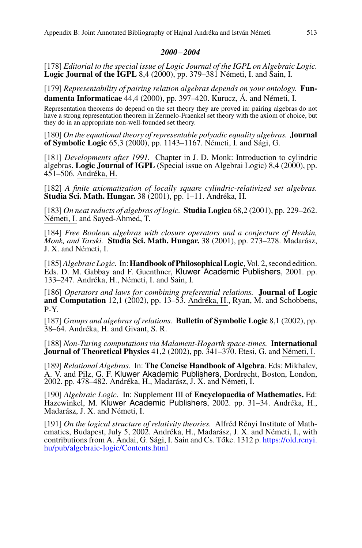### *2000* – *2004*

[178] *Editorial to the special issue of Logic Journal of the IGPL on Algebraic Logic.* **Logic Journal of the IGPL** 8,4 (2000), pp. 379–381 Németi, I. and Sain, I.

[179] *Representability of pairing relation algebras depends on your ontology.* **Fundamenta Informaticae** 44,4 (2000), pp. 397–420. Kurucz, Á. and Németi, I.

Representation theorems do depend on the set theory they are proved in: pairing algebras do not have a strong representation theorem in Zermelo-Fraenkel set theory with the axiom of choice, but they do in an appropriate non-well-founded set theory.

[180] *On the equational theory of representable polyadic equality algebras.* **Journal of Symbolic Logic** 65,3 (2000), pp. 1143–1167. Németi, I. and Sági, G.

[181] *Developments after 1991.* Chapter in J. D. Monk: Introduction to cylindric algebras. **Logic Journal of IGPL** (Special issue on Algebrai Logic) 8,4 (2000), pp. 451–506. Andréka, H.

[182] *A finite axiomatization of locally square cylindric-relativized set algebras.* **Studia Sci. Math. Hungar.** 38 (2001), pp. 1–11. Andréka, H.

[183] *On neat reducts of algebras of logic.* **Studia Logica** 68,2 (2001), pp. 229–262. Németi, I. and Sayed-Ahmed, T.

[184] *Free Boolean algebras with closure operators and a conjecture of Henkin, Monk, and Tarski.* **Studia Sci. Math. Hungar.** 38 (2001), pp. 273–278. Madarász, J. X. and Németi, I.

[185]*Algebraic Logic.* In:**Handbook of Philosophical Logic**, Vol. 2, second edition. Eds. D. M. Gabbay and F. Guenthner, Kluwer Academic Publishers, 2001. pp. 133–247. Andréka, H., Németi, I. and Sain, I.

[186] *Operators and laws for combining preferential relations.* **Journal of Logic and Computation** 12,1 (2002), pp. 13–53. Andréka, H., Ryan, M. and Schobbens, P-Y.

[187] *Groups and algebras of relations.* **Bulletin of Symbolic Logic** 8,1 (2002), pp. 38–64. Andréka, H. and Givant, S. R.

[188] *Non-Turing computations via Malament-Hogarth space-times.* **International Journal of Theoretical Physics** 41,2 (2002), pp. 341–370. Etesi, G. and Németi, I.

[189] *Relational Algebras.* In: **The Concise Handbook of Algebra**. Eds: Mikhalev, A. V. and Pilz, G. F. Kluwer Akademic Publishers, Dordrecht, Boston, London, 2002. pp. 478–482. Andréka, H., Madarász, J. X. and Németi, I.

[190] *Algebraic Logic.* In: Supplement III of **Encyclopaedia of Mathematics.** Ed: Hazewinkel, M. Kluwer Academic Publishers, 2002. pp. 31–34. Andréka, H., Madarász, J. X. and Németi, I.

[191] *On the logical structure of relativity theories.* Alfréd Rényi Institute of Mathematics, Budapest, July 5, 2002. Andréka, H., Madarász, J. X. and Németi, I., with contributions from A. Andai, G. Sági, I. Sain and Cs. Tőke. 1312 p. [https://old.renyi.](https://old.renyi.hu/pub/algebraic-logic/Contents.html) [hu/pub/algebraic-logic/Contents.html](https://old.renyi.hu/pub/algebraic-logic/Contents.html)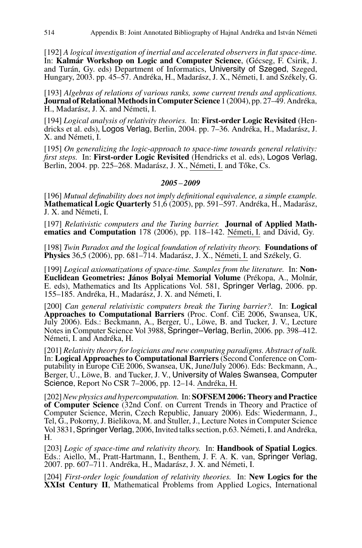[192] *A logical investigation of inertial and accelerated observers in flat space-time.* In: **Kalmár Workshop on Logic and Computer Science**, (Gécseg, F. Csirik, J. and Turán, Gy. eds) Department of Informatics, University of Szeged, Szeged, Hungary, 2003. pp. 45–57. Andréka, H., Madarász, J. X., Németi, I. and Székely, G.

[193] *Algebras of relations of various ranks, some current trends and applications.* **Journal of RelationalMethods in Computer Science** 1 (2004), pp. 27–49. Andréka, H., Madarász, J. X. and Németi, I.

[194] *Logical analysis of relativity theories.* In: **First-order Logic Revisited** (Hendricks et al. eds), Logos Verlag, Berlin, 2004. pp. 7–36. Andréka, H., Madarász, J. X. and Németi, I.

[195] *On generalizing the logic-approach to space-time towards general relativity: first steps.* In: **First-order Logic Revisited** (Hendricks et al. eds), Logos Verlag, Berlin, 2004. pp. 225–268. Madarász, J. X., Németi, I. and Tőke, Cs.

## *2005* – *2009*

[196] *Mutual definability does not imply definitional equivalence, a simple example.* **Mathematical Logic Quarterly** 51,6 (2005), pp. 591–597. Andréka, H., Madarász, J. X. and Németi, I.

[197] *Relativistic computers and the Turing barrier.* **Journal of Applied Mathematics and Computation** 178 (2006), pp. 118–142. Németi, I. and Dávid, Gy.

[198] *Twin Paradox and the logical foundation of relativity theory.* **Foundations of Physics** 36,5 (2006), pp. 681–714. Madarász, J. X., Németi, I. and Székely, G.

[199] *Logical axiomatizations of space-time. Samples from the literature.* In: **Non-Euclidean Geometries: János Bolyai Memorial Volume** (Prékopa, A., Molnár, E. eds), Mathematics and Its Applications Vol. 581, Springer Verlag, 2006. pp. 155–185. Andréka, H., Madarász, J. X. and Németi, I.

[200] *Can general relativistic computers break the Turing barrier?.* In: **Logical Approaches to Computational Barriers** (Proc. Conf. CiE 2006, Swansea, UK, July 2006). Eds.: Beckmann, A., Berger, U., Löwe, B. and Tucker, J. V., Lecture Notes in Computer Science Vol 3988, Springer–Verlag, Berlin, 2006. pp. 398–412. Németi, I. and Andréka, H.

[201] *Relativity theory for logicians and new computing paradigms. Abstract of talk.* In: **Logical Approaches to Computational Barriers** (Second Conference on Computability in Europe CiE 2006, Swansea, UK, June/July 2006). Eds: Beckmann, A., Berger, U., Löwe, B. and Tucker, J. V., University of Wales Swansea, Computer Science, Report No CSR 7–2006, pp. 12–14. Andréka, H.

[202]*New physics and hypercomputation.* In: **SOFSEM 2006: Theory and Practice of Computer Science** (32nd Conf. on Current Trends in Theory and Practice of Computer Science, Merin, Czech Republic, January 2006). Eds: Wiedermann, J., Tel, G., Pokorny, J. Bielikova, M. and Stuller, J., Lecture Notes in Computer Science Vol 3831, Springer Verlag, 2006, Invited talks section, p.63. Németi, I. and Andréka, H.

[203] *Logic of space-time and relativity theory.* In: **Handbook of Spatial Logics**. Eds.: Aiello, M., Pratt-Hartmann, I., Benthem, J. F. A. K. van, Springer Verlag, 2007. pp. 607–711. Andréka, H., Madarász, J. X. and Németi, I.

[204] *First-order logic foundation of relativity theories.* In: **New Logics for the XXIst Century II**, Mathematical Problems from Applied Logics, International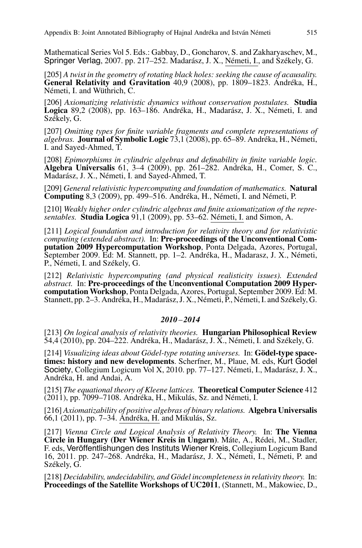Mathematical Series Vol 5. Eds.: Gabbay, D., Goncharov, S. and Zakharyaschev, M., Springer Verlag, 2007. pp. 217–252. Madarász, J. X., Németi, I., and Székely, G.

[205] *A twist in the geometry of rotating black holes: seeking the cause of acausality.* **General Relativity and Gravitation** 40,9 (2008), pp. 1809–1823. Andréka, H., Németi, I. and Wüthrich, C.

[206] *Axiomatizing relativistic dynamics without conservation postulates.* **Studia Logica** 89,2 (2008), pp. 163–186. Andréka, H., Madarász, J. X., Németi, I. and Székely, G.

[207] *Omitting types for finite variable fragments and complete representations of algebras.* **Journal of Symbolic Logic** 73,1 (2008), pp. 65–89. Andréka, H., Németi, I. and Sayed-Ahmed, T.

[208] *Epimorphisms in cylindric algebras and definability in finite variable logic.* **Algebra Universalis** 61, 3–4 (2009), pp. 261–282. Andréka, H., Comer, S. C., Madarász, J. X., Németi, I. and Sayed-Ahmed, T.

[209] *General relativistic hypercomputing and foundation of mathematics.* **Natural Computing** 8,3 (2009), pp. 499–516. Andréka, H., Németi, I. and Németi, P.

[210] *Weakly higher order cylindric algebras and finite axiomatization of the representables.* **Studia Logica** 91,1 (2009), pp. 53–62. Németi, I. and Simon, A.

[211] *Logical foundation and introduction for relativity theory and for relativistic computing (extended abstract).* In: **Pre-proceedings of the Unconventional Computation 2009 Hypercomputation Workshop**, Ponta Delgada, Azores, Portugal, September 2009. Ed: M. Stannett, pp. 1–2. Andréka, H., Madarasz, J. X., Németi, P., Németi, I. and Székely, G.

[212] *Relativistic hypercomputing (and physical realisticity issues). Extended abstract.* In: **Pre-proceedings of the Unconventional Computation 2009 Hypercomputation Workshop**, Ponta Delgada, Azores, Portugal, September 2009. Ed: M. Stannett, pp. 2–3. Andréka, H., Madarász, J. X., Németi, P., Németi, I. and Székely, G.

#### *2010* – *2014*

[213] *On logical analysis of relativity theories.* **Hungarian Philosophical Review** 54,4 (2010), pp. 204–222. Andréka, H., Madarász, J. X., Németi, I. and Székely, G.

[214] *Visualizing ideas about Gödel-type rotating universes.* In: **Gödel-type spacetimes: history and new developments**. Scherfner, M., Plaue, M. eds, Kurt Godel Society, Collegium Logicum Vol X, 2010. pp. 77–127. Németi, I., Madarász, J. X., Andréka, H. and Andai, A.

[215] *The equational theory of Kleene lattices.* **Theoretical Computer Science** 412 (2011), pp. 7099–7108. Andréka, H., Mikulás, Sz. and Németi, I.

[216] *Axiomatizability of positive algebras of binary relations.* **Algebra Universalis** 66,1 (2011), pp. 7–34. Andréka, H. and Mikulás, Sz.

[217] *Vienna Circle and Logical Analysis of Relativity Theory.* In: **The Vienna Circle in Hungary (Der Wiener Kreis in Ungarn)**. Máte, A., Rédei, M., Stadler, F. eds, Veröffentlishungen des Instituts Wiener Kreis, Collegium Logicum Band 16, 2011. pp. 247–268. Andréka, H., Madarász, J. X., Németi, I., Németi, P. and Székely, G.

[218] *Decidability, undecidability, and Gödel incompleteness in relativity theory.* In: **Proceedings of the Satellite Workshops of UC2011**, (Stannett, M., Makowiec, D.,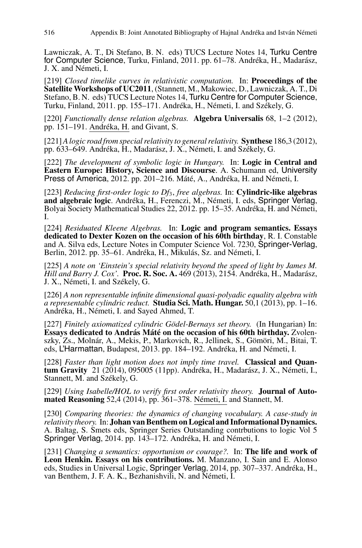Lawniczak, A. T., Di Stefano, B. N. eds) TUCS Lecture Notes 14, Turku Centre for Computer Science, Turku, Finland, 2011. pp. 61–78. Andréka, H., Madarász, J. X. and Németi, I.

[219] *Closed timelike curves in relativistic computation.* In: **Proceedings of the Satellite Workshops of UC2011**, (Stannett, M., Makowiec, D., Lawniczak, A. T., Di Turku, Finland, 2011. pp. 155–171. Andréka, H., Németi, I. and Székely, G.

[220] *Functionally dense relation algebras.* **Algebra Universalis** 68, 1–2 (2012), pp. 151–191. Andréka, H. and Givant, S.

[221]*A logic road from special relativity to general relativity.* **Synthese** 186,3 (2012), pp. 633–649. Andréka, H., Madarász, J. X., Németi, I. and Székely, G.

[222] *The development of symbolic logic in Hungary.* In: **Logic in Central and Eastern Europe: History, Science and Discourse**. A. Schumann ed, University Press of America, 2012. pp. 201–216. Máté, A., Andréka, H. and Németi, I.

[223] *Reducing first-order logic to Df*3, *free algebras.* In: **Cylindric-like algebras** Bolyai Society Mathematical Studies 22, 2012. pp. 15–35. Andréka, H. and Németi, I.

[224] *Residuated Kleene Algebras.* In: **Logic and program semantics. Essays dedicated to Dexter Kozen on the occasion of his 60th birthday**, R. I. Constable and A. Silva eds, Lecture Notes in Computer Science Vol. 7230, Springer-Verlag, Berlin, 2012. pp. 35–61. Andréka, H., Mikulás, Sz. and Németi, I.

[225] *A note on 'Einstein's special relativity beyond the speed of light by James M. Hill and Barry J. Cox'.* **Proc. R. Soc. A.** 469 (2013), 2154. Andréka, H., Madarász, J. X., Németi, I. and Székely, G.

[226] *A non representable infinite dimensional quasi-polyadic equality algebra with a representable cylindric reduct.* **Studia Sci. Math. Hungar.** 50,1 (2013), pp. 1–16. Andréka, H., Németi, I. and Sayed Ahmed, T.

[227] *Finitely axiomatized cylindric Gödel-Bernays set theory.* (In Hungarian) In: **Essays dedicated to András Máté on the occasion of his 60th birthday.** Zvolenszky, Zs., Molnár, A., Mekis, P., Markovich, R., Jellinek, S., Gömöri, M., Bitai, T. eds, L'Harmattan, Budapest, 2013. pp. 184–192. Andréka, H. and Németi, I.

[228] *Faster than light motion does not imply time travel.* **Classical and Quantum Gravity** 21 (2014), 095005 (11pp). Andréka, H., Madarász, J. X., Németi, I., Stannett, M. and Székely, G.

[229] *Using Isabelle/HOL to verify first order relativity theory.* **Journal of Automated Reasoning** 52,4 (2014), pp. 361–378. Németi, I. and Stannett, M.

[230] *Comparing theories: the dynamics of changing vocabulary. A case-study in relativity theory.* In: **Johan van Benthem on Logical and Informational Dynamics.** A. Baltag, S. Smets eds, Springer Series Outstanding contrbutions to logic Vol 5 Springer Verlag, 2014. pp. 143–172. Andréka, H. and Németi, I.

[231] *Changing a semantics: opportunism or courage?.* In: **The life and work of Leon Henkin. Essays on his contributions.** M. Manzano, I. Sain and E. Alonso eds, Studies in Universal Logic, Springer Verlag, 2014, pp. 307–337. Andréka, H., van Benthem, J. F. A. K., Bezhanishvili, N. and Németi, I.